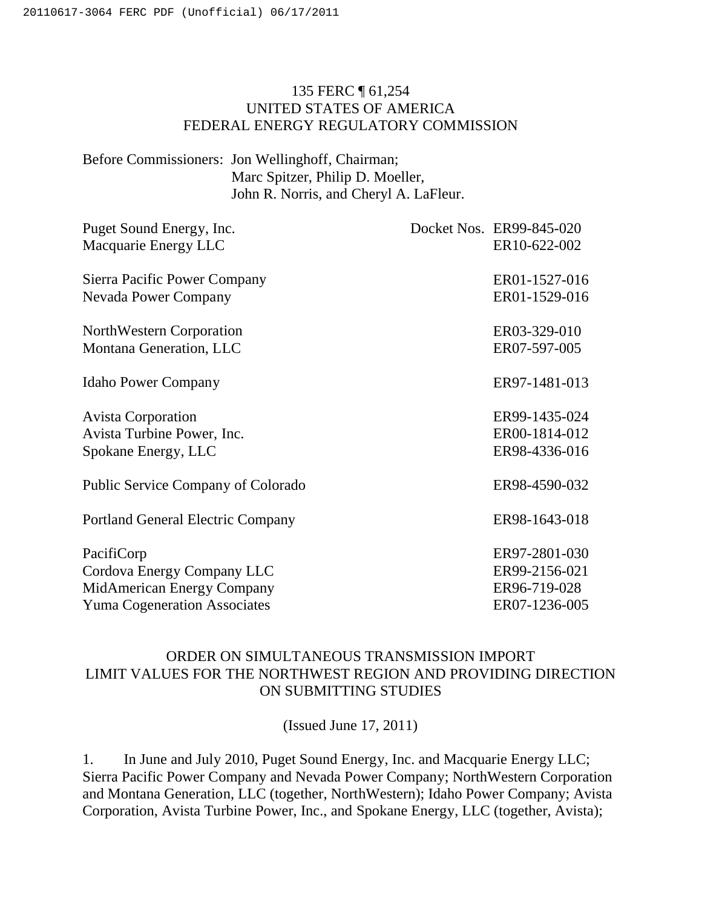### 135 FERC ¶ 61,254 UNITED STATES OF AMERICA FEDERAL ENERGY REGULATORY COMMISSION

Before Commissioners: Jon Wellinghoff, Chairman; Marc Spitzer, Philip D. Moeller, John R. Norris, and Cheryl A. LaFleur.

| Puget Sound Energy, Inc.                 | Docket Nos. ER99-845-020 |
|------------------------------------------|--------------------------|
| Macquarie Energy LLC                     | ER10-622-002             |
| Sierra Pacific Power Company             | ER01-1527-016            |
| <b>Nevada Power Company</b>              | ER01-1529-016            |
| NorthWestern Corporation                 | ER03-329-010             |
| Montana Generation, LLC                  | ER07-597-005             |
| <b>Idaho Power Company</b>               | ER97-1481-013            |
| <b>Avista Corporation</b>                | ER99-1435-024            |
| Avista Turbine Power, Inc.               | ER00-1814-012            |
| Spokane Energy, LLC                      | ER98-4336-016            |
| Public Service Company of Colorado       | ER98-4590-032            |
| <b>Portland General Electric Company</b> | ER98-1643-018            |
| PacifiCorp                               | ER97-2801-030            |
| Cordova Energy Company LLC               | ER99-2156-021            |
| MidAmerican Energy Company               | ER96-719-028             |
| <b>Yuma Cogeneration Associates</b>      | ER07-1236-005            |

## ORDER ON SIMULTANEOUS TRANSMISSION IMPORT LIMIT VALUES FOR THE NORTHWEST REGION AND PROVIDING DIRECTION ON SUBMITTING STUDIES

(Issued June 17, 2011)

1. In June and July 2010, Puget Sound Energy, Inc. and Macquarie Energy LLC; Sierra Pacific Power Company and Nevada Power Company; NorthWestern Corporation and Montana Generation, LLC (together, NorthWestern); Idaho Power Company; Avista Corporation, Avista Turbine Power, Inc., and Spokane Energy, LLC (together, Avista);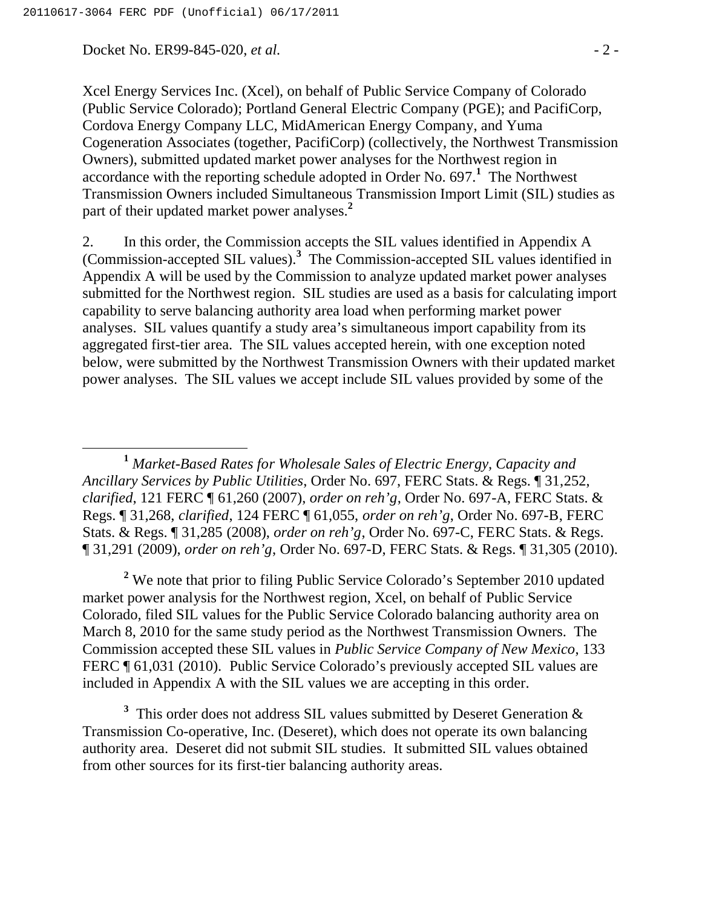Docket No. ER99-845-020, *et al.* - 2 -

Xcel Energy Services Inc. (Xcel), on behalf of Public Service Company of Colorado (Public Service Colorado); Portland General Electric Company (PGE); and PacifiCorp, Cordova Energy Company LLC, MidAmerican Energy Company, and Yuma Cogeneration Associates (together, PacifiCorp) (collectively, the Northwest Transmission Owners), submitted updated market power analyses for the Northwest region in accordance with the reporting schedule adopted in Order No. 697.**<sup>1</sup>** The Northwest Transmission Owners included Simultaneous Transmission Import Limit (SIL) studies as part of their updated market power analyses.**<sup>2</sup>**

2. In this order, the Commission accepts the SIL values identified in Appendix A (Commission-accepted SIL values).**<sup>3</sup>** The Commission-accepted SIL values identified in Appendix A will be used by the Commission to analyze updated market power analyses submitted for the Northwest region. SIL studies are used as a basis for calculating import capability to serve balancing authority area load when performing market power analyses. SIL values quantify a study area's simultaneous import capability from its aggregated first-tier area. The SIL values accepted herein, with one exception noted below, were submitted by the Northwest Transmission Owners with their updated market power analyses.The SIL values we accept include SIL values provided by some of the

 **<sup>1</sup>** *Market-Based Rates for Wholesale Sales of Electric Energy, Capacity and Ancillary Services by Public Utilities*, Order No. 697, FERC Stats. & Regs. ¶ 31,252, *clarified*, 121 FERC ¶ 61,260 (2007), *order on reh'g*, Order No. 697-A, FERC Stats. & Regs. ¶ 31,268, *clarified*, 124 FERC ¶ 61,055, *order on reh'g*, Order No. 697-B, FERC Stats. & Regs. ¶ 31,285 (2008), *order on reh'g*, Order No. 697-C, FERC Stats. & Regs. ¶ 31,291 (2009), *order on reh'g*, Order No. 697-D, FERC Stats. & Regs. ¶ 31,305 (2010).

<sup>2</sup> We note that prior to filing Public Service Colorado's September 2010 updated market power analysis for the Northwest region, Xcel, on behalf of Public Service Colorado, filed SIL values for the Public Service Colorado balancing authority area on March 8, 2010 for the same study period as the Northwest Transmission Owners. The Commission accepted these SIL values in *Public Service Company of New Mexico*, 133 FERC ¶ 61,031 (2010). Public Service Colorado's previously accepted SIL values are included in Appendix A with the SIL values we are accepting in this order.

<sup>3</sup> This order does not address SIL values submitted by Deseret Generation  $\&$ Transmission Co-operative, Inc. (Deseret), which does not operate its own balancing authority area. Deseret did not submit SIL studies. It submitted SIL values obtained from other sources for its first-tier balancing authority areas.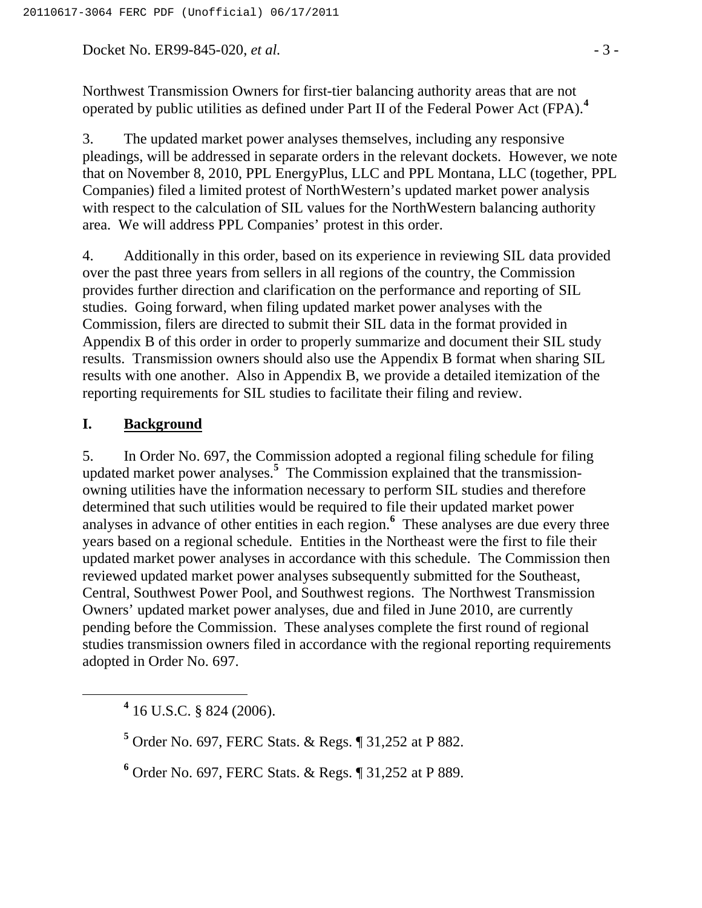Docket No. ER99-845-020, *et al.*  $\qquad \qquad -3$  -

Northwest Transmission Owners for first-tier balancing authority areas that are not operated by public utilities as defined under Part II of the Federal Power Act (FPA).**<sup>4</sup>**

3. The updated market power analyses themselves, including any responsive pleadings, will be addressed in separate orders in the relevant dockets. However, we note that on November 8, 2010, PPL EnergyPlus, LLC and PPL Montana, LLC (together, PPL Companies) filed a limited protest of NorthWestern's updated market power analysis with respect to the calculation of SIL values for the NorthWestern balancing authority area. We will address PPL Companies' protest in this order.

4. Additionally in this order, based on its experience in reviewing SIL data provided over the past three years from sellers in all regions of the country, the Commission provides further direction and clarification on the performance and reporting of SIL studies. Going forward, when filing updated market power analyses with the Commission, filers are directed to submit their SIL data in the format provided in Appendix B of this order in order to properly summarize and document their SIL study results. Transmission owners should also use the Appendix B format when sharing SIL results with one another. Also in Appendix B, we provide a detailed itemization of the reporting requirements for SIL studies to facilitate their filing and review.

#### **I. Background**

5. In Order No. 697, the Commission adopted a regional filing schedule for filing updated market power analyses.**<sup>5</sup>** The Commission explained that the transmissionowning utilities have the information necessary to perform SIL studies and therefore determined that such utilities would be required to file their updated market power analyses in advance of other entities in each region.**<sup>6</sup>** These analyses are due every three years based on a regional schedule. Entities in the Northeast were the first to file their updated market power analyses in accordance with this schedule. The Commission then reviewed updated market power analyses subsequently submitted for the Southeast, Central, Southwest Power Pool, and Southwest regions. The Northwest Transmission Owners' updated market power analyses, due and filed in June 2010, are currently pending before the Commission. These analyses complete the first round of regional studies transmission owners filed in accordance with the regional reporting requirements adopted in Order No. 697.

 **<sup>4</sup>**  $4$  16 U.S.C. § 824 (2006).

**<sup>5</sup>** Order No. 697, FERC Stats. & Regs. ¶ 31,252 at P 882.

**6** Order No. 697, FERC Stats. & Regs. ¶ 31,252 at P 889.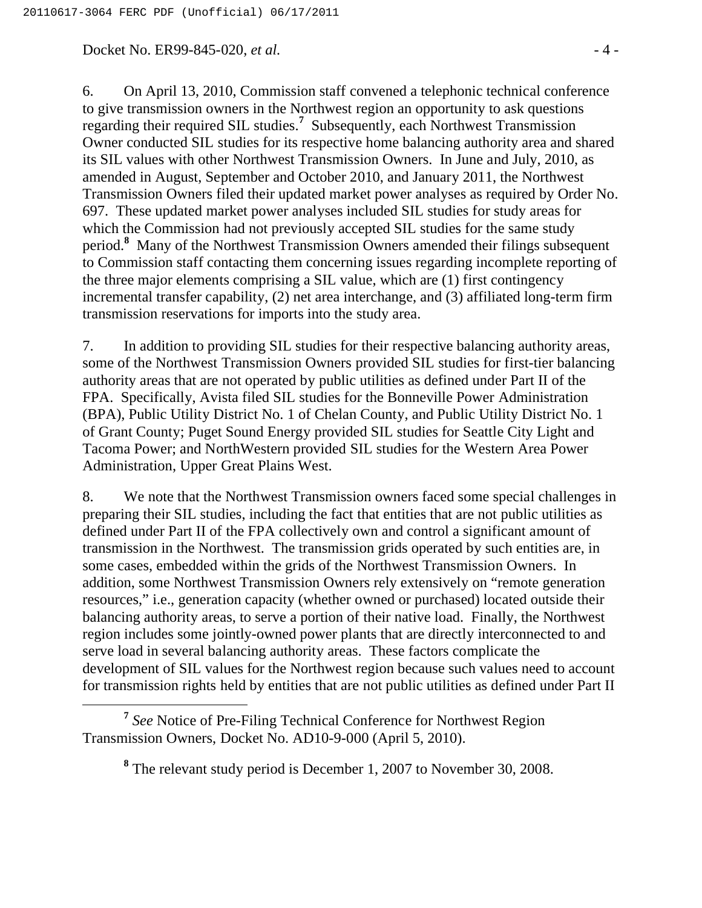Docket No. ER99-845-020, *et al.*  $\qquad 4 - 4$ 

6. On April 13, 2010, Commission staff convened a telephonic technical conference to give transmission owners in the Northwest region an opportunity to ask questions regarding their required SIL studies.**<sup>7</sup>** Subsequently, each Northwest Transmission Owner conducted SIL studies for its respective home balancing authority area and shared its SIL values with other Northwest Transmission Owners. In June and July, 2010, as amended in August, September and October 2010, and January 2011, the Northwest Transmission Owners filed their updated market power analyses as required by Order No. 697. These updated market power analyses included SIL studies for study areas for which the Commission had not previously accepted SIL studies for the same study period.**<sup>8</sup>** Many of the Northwest Transmission Owners amended their filings subsequent to Commission staff contacting them concerning issues regarding incomplete reporting of the three major elements comprising a SIL value, which are (1) first contingency incremental transfer capability, (2) net area interchange, and (3) affiliated long-term firm transmission reservations for imports into the study area.

7. In addition to providing SIL studies for their respective balancing authority areas, some of the Northwest Transmission Owners provided SIL studies for first-tier balancing authority areas that are not operated by public utilities as defined under Part II of the FPA. Specifically, Avista filed SIL studies for the Bonneville Power Administration (BPA), Public Utility District No. 1 of Chelan County, and Public Utility District No. 1 of Grant County; Puget Sound Energy provided SIL studies for Seattle City Light and Tacoma Power; and NorthWestern provided SIL studies for the Western Area Power Administration, Upper Great Plains West.

8. We note that the Northwest Transmission owners faced some special challenges in preparing their SIL studies, including the fact that entities that are not public utilities as defined under Part II of the FPA collectively own and control a significant amount of transmission in the Northwest. The transmission grids operated by such entities are, in some cases, embedded within the grids of the Northwest Transmission Owners. In addition, some Northwest Transmission Owners rely extensively on "remote generation resources," i.e., generation capacity (whether owned or purchased) located outside their balancing authority areas, to serve a portion of their native load. Finally, the Northwest region includes some jointly-owned power plants that are directly interconnected to and serve load in several balancing authority areas. These factors complicate the development of SIL values for the Northwest region because such values need to account for transmission rights held by entities that are not public utilities as defined under Part II

**<sup>7</sup>** *See* Notice of Pre-Filing Technical Conference for Northwest Region Transmission Owners, Docket No. AD10-9-000 (April 5, 2010).

**<sup>8</sup>** The relevant study period is December 1, 2007 to November 30, 2008.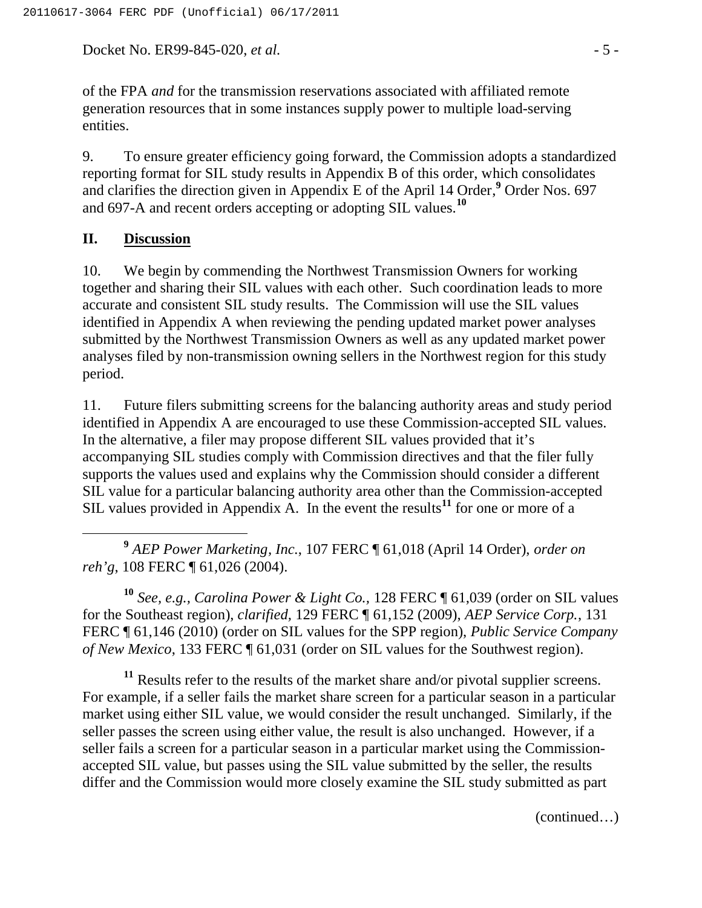Docket No. ER99-845-020, *et al.*  $\qquad -5$  -

of the FPA *and* for the transmission reservations associated with affiliated remote generation resources that in some instances supply power to multiple load-serving entities.

9. To ensure greater efficiency going forward, the Commission adopts a standardized reporting format for SIL study results in Appendix B of this order, which consolidates and clarifies the direction given in Appendix E of the April 14 Order,**<sup>9</sup>** Order Nos. 697 and 697-A and recent orders accepting or adopting SIL values.**<sup>10</sup>**

#### **II. Discussion**

10. We begin by commending the Northwest Transmission Owners for working together and sharing their SIL values with each other. Such coordination leads to more accurate and consistent SIL study results. The Commission will use the SIL values identified in Appendix A when reviewing the pending updated market power analyses submitted by the Northwest Transmission Owners as well as any updated market power analyses filed by non-transmission owning sellers in the Northwest region for this study period.

11. Future filers submitting screens for the balancing authority areas and study period identified in Appendix A are encouraged to use these Commission-accepted SIL values. In the alternative, a filer may propose different SIL values provided that it's accompanying SIL studies comply with Commission directives and that the filer fully supports the values used and explains why the Commission should consider a different SIL value for a particular balancing authority area other than the Commission-accepted SIL values provided in Appendix A. In the event the results<sup>11</sup> for one or more of a

 **<sup>9</sup>** *AEP Power Marketing, Inc.*, 107 FERC ¶ 61,018 (April 14 Order), *order on reh'g*, 108 FERC ¶ 61,026 (2004).

**<sup>10</sup>** *See, e.g., Carolina Power & Light Co.,* 128 FERC ¶ 61,039 (order on SIL values for the Southeast region), *clarified,* 129 FERC ¶ 61,152 (2009), *AEP Service Corp.*, 131 FERC ¶ 61,146 (2010) (order on SIL values for the SPP region), *Public Service Company of New Mexico*, 133 FERC ¶ 61,031 (order on SIL values for the Southwest region).

<sup>11</sup> Results refer to the results of the market share and/or pivotal supplier screens. For example, if a seller fails the market share screen for a particular season in a particular market using either SIL value, we would consider the result unchanged. Similarly, if the seller passes the screen using either value, the result is also unchanged. However, if a seller fails a screen for a particular season in a particular market using the Commissionaccepted SIL value, but passes using the SIL value submitted by the seller, the results differ and the Commission would more closely examine the SIL study submitted as part

(continued…)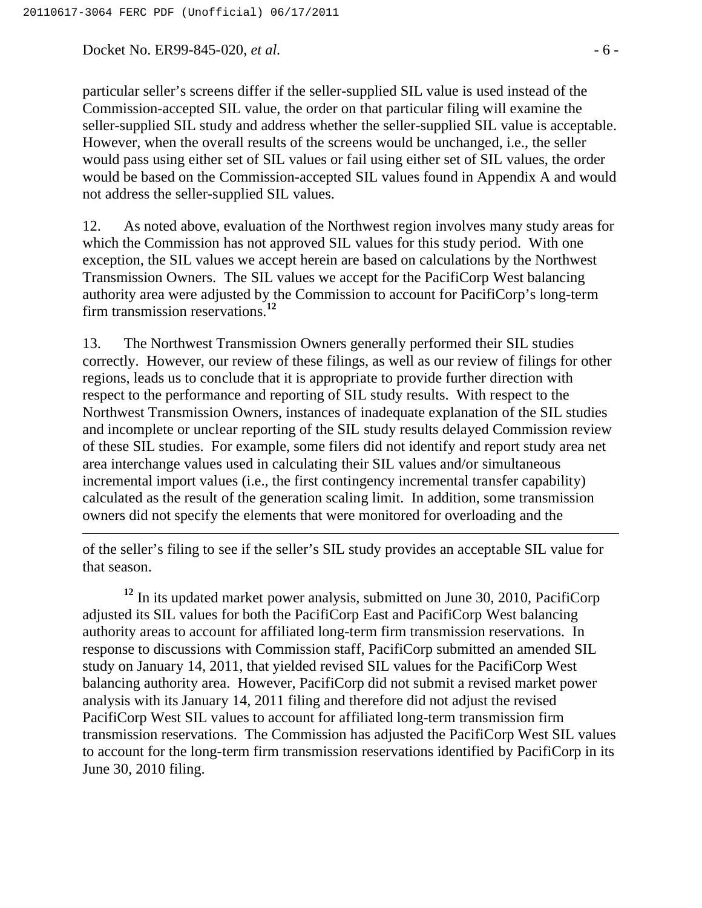Docket No. ER99-845-020, *et al.* - 6 -

particular seller's screens differ if the seller-supplied SIL value is used instead of the Commission-accepted SIL value, the order on that particular filing will examine the seller-supplied SIL study and address whether the seller-supplied SIL value is acceptable. However, when the overall results of the screens would be unchanged, i.e., the seller would pass using either set of SIL values or fail using either set of SIL values, the order would be based on the Commission-accepted SIL values found in Appendix A and would not address the seller-supplied SIL values.

12. As noted above, evaluation of the Northwest region involves many study areas for which the Commission has not approved SIL values for this study period. With one exception, the SIL values we accept herein are based on calculations by the Northwest Transmission Owners. The SIL values we accept for the PacifiCorp West balancing authority area were adjusted by the Commission to account for PacifiCorp's long-term firm transmission reservations.**<sup>12</sup>**

13. The Northwest Transmission Owners generally performed their SIL studies correctly. However, our review of these filings, as well as our review of filings for other regions, leads us to conclude that it is appropriate to provide further direction with respect to the performance and reporting of SIL study results. With respect to the Northwest Transmission Owners, instances of inadequate explanation of the SIL studies and incomplete or unclear reporting of the SIL study results delayed Commission review of these SIL studies. For example, some filers did not identify and report study area net area interchange values used in calculating their SIL values and/or simultaneous incremental import values (i.e., the first contingency incremental transfer capability) calculated as the result of the generation scaling limit. In addition, some transmission owners did not specify the elements that were monitored for overloading and the

of the seller's filing to see if the seller's SIL study provides an acceptable SIL value for that season.

**<sup>12</sup>** In its updated market power analysis, submitted on June 30, 2010, PacifiCorp adjusted its SIL values for both the PacifiCorp East and PacifiCorp West balancing authority areas to account for affiliated long-term firm transmission reservations. In response to discussions with Commission staff, PacifiCorp submitted an amended SIL study on January 14, 2011, that yielded revised SIL values for the PacifiCorp West balancing authority area. However, PacifiCorp did not submit a revised market power analysis with its January 14, 2011 filing and therefore did not adjust the revised PacifiCorp West SIL values to account for affiliated long-term transmission firm transmission reservations. The Commission has adjusted the PacifiCorp West SIL values to account for the long-term firm transmission reservations identified by PacifiCorp in its June 30, 2010 filing.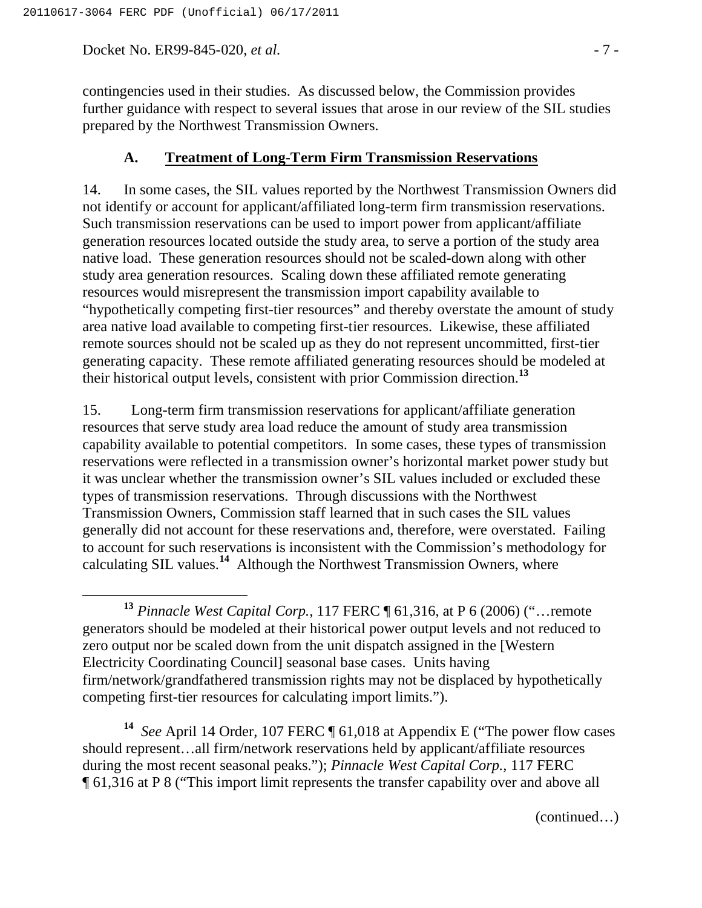Docket No. ER99-845-020, *et al.* - 7 -

contingencies used in their studies. As discussed below, the Commission provides further guidance with respect to several issues that arose in our review of the SIL studies prepared by the Northwest Transmission Owners.

#### **A. Treatment of Long-Term Firm Transmission Reservations**

14. In some cases, the SIL values reported by the Northwest Transmission Owners did not identify or account for applicant/affiliated long-term firm transmission reservations. Such transmission reservations can be used to import power from applicant/affiliate generation resources located outside the study area, to serve a portion of the study area native load. These generation resources should not be scaled-down along with other study area generation resources. Scaling down these affiliated remote generating resources would misrepresent the transmission import capability available to "hypothetically competing first-tier resources" and thereby overstate the amount of study area native load available to competing first-tier resources. Likewise, these affiliated remote sources should not be scaled up as they do not represent uncommitted, first-tier generating capacity. These remote affiliated generating resources should be modeled at their historical output levels, consistent with prior Commission direction.**<sup>13</sup>**

15. Long-term firm transmission reservations for applicant/affiliate generation resources that serve study area load reduce the amount of study area transmission capability available to potential competitors. In some cases, these types of transmission reservations were reflected in a transmission owner's horizontal market power study but it was unclear whether the transmission owner's SIL values included or excluded these types of transmission reservations. Through discussions with the Northwest Transmission Owners, Commission staff learned that in such cases the SIL values generally did not account for these reservations and, therefore, were overstated. Failing to account for such reservations is inconsistent with the Commission's methodology for calculating SIL values.**<sup>14</sup>** Although the Northwest Transmission Owners, where

**<sup>14</sup>** *See* April 14 Order, 107 FERC ¶ 61,018 at Appendix E ("The power flow cases should represent…all firm/network reservations held by applicant/affiliate resources during the most recent seasonal peaks."); *Pinnacle West Capital Corp.,* 117 FERC ¶ 61,316 at P 8 ("This import limit represents the transfer capability over and above all

(continued…)

**<sup>13</sup>** *Pinnacle West Capital Corp.,* 117 FERC ¶ 61,316, at P 6 (2006) ("…remote generators should be modeled at their historical power output levels and not reduced to zero output nor be scaled down from the unit dispatch assigned in the [Western Electricity Coordinating Council] seasonal base cases. Units having firm/network/grandfathered transmission rights may not be displaced by hypothetically competing first-tier resources for calculating import limits.").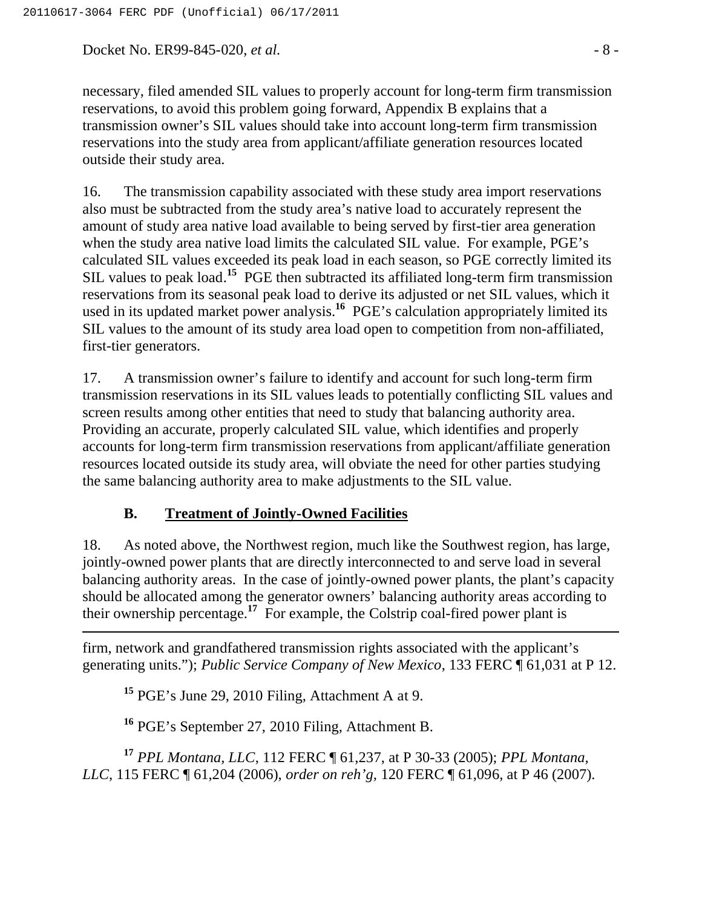Docket No. ER99-845-020, *et al.* - 8 -

necessary, filed amended SIL values to properly account for long-term firm transmission reservations, to avoid this problem going forward, Appendix B explains that a transmission owner's SIL values should take into account long-term firm transmission reservations into the study area from applicant/affiliate generation resources located outside their study area.

16. The transmission capability associated with these study area import reservations also must be subtracted from the study area's native load to accurately represent the amount of study area native load available to being served by first-tier area generation when the study area native load limits the calculated SIL value. For example, PGE's calculated SIL values exceeded its peak load in each season, so PGE correctly limited its SIL values to peak load.**<sup>15</sup>** PGE then subtracted its affiliated long-term firm transmission reservations from its seasonal peak load to derive its adjusted or net SIL values, which it used in its updated market power analysis.**<sup>16</sup>** PGE's calculation appropriately limited its SIL values to the amount of its study area load open to competition from non-affiliated, first-tier generators.

17. A transmission owner's failure to identify and account for such long-term firm transmission reservations in its SIL values leads to potentially conflicting SIL values and screen results among other entities that need to study that balancing authority area. Providing an accurate, properly calculated SIL value, which identifies and properly accounts for long-term firm transmission reservations from applicant/affiliate generation resources located outside its study area, will obviate the need for other parties studying the same balancing authority area to make adjustments to the SIL value.

## **B. Treatment of Jointly-Owned Facilities**

18. As noted above, the Northwest region, much like the Southwest region, has large, jointly-owned power plants that are directly interconnected to and serve load in several balancing authority areas. In the case of jointly-owned power plants, the plant's capacity should be allocated among the generator owners' balancing authority areas according to their ownership percentage.**<sup>17</sup>** For example, the Colstrip coal-fired power plant is

firm, network and grandfathered transmission rights associated with the applicant's generating units."); *Public Service Company of New Mexico*, 133 FERC ¶ 61,031 at P 12.

**<sup>15</sup>** PGE's June 29, 2010 Filing, Attachment A at 9.

 $\overline{a}$ 

**<sup>16</sup>** PGE's September 27, 2010 Filing, Attachment B.

**<sup>17</sup>** *PPL Montana, LLC*, 112 FERC ¶ 61,237, at P 30-33 (2005); *PPL Montana, LLC*, 115 FERC ¶ 61,204 (2006), *order on reh'g,* 120 FERC ¶ 61,096, at P 46 (2007).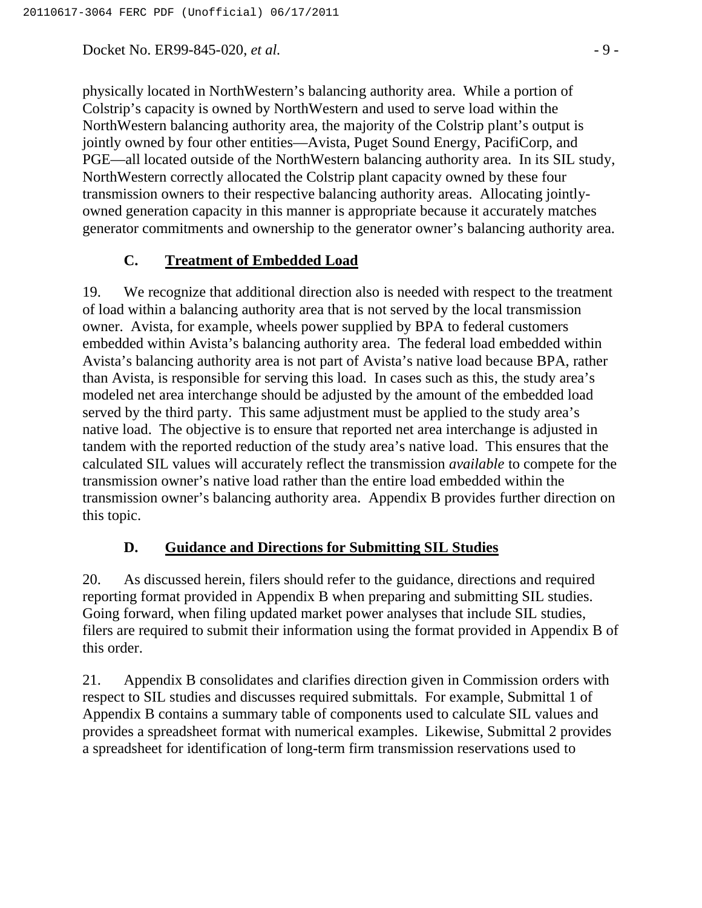Docket No. ER99-845-020, *et al.*  $\qquad -9$  -

physically located in NorthWestern's balancing authority area. While a portion of Colstrip's capacity is owned by NorthWestern and used to serve load within the NorthWestern balancing authority area, the majority of the Colstrip plant's output is jointly owned by four other entities—Avista, Puget Sound Energy, PacifiCorp, and PGE—all located outside of the NorthWestern balancing authority area. In its SIL study, NorthWestern correctly allocated the Colstrip plant capacity owned by these four transmission owners to their respective balancing authority areas. Allocating jointlyowned generation capacity in this manner is appropriate because it accurately matches generator commitments and ownership to the generator owner's balancing authority area.

## **C. Treatment of Embedded Load**

19. We recognize that additional direction also is needed with respect to the treatment of load within a balancing authority area that is not served by the local transmission owner. Avista, for example, wheels power supplied by BPA to federal customers embedded within Avista's balancing authority area. The federal load embedded within Avista's balancing authority area is not part of Avista's native load because BPA, rather than Avista, is responsible for serving this load. In cases such as this, the study area's modeled net area interchange should be adjusted by the amount of the embedded load served by the third party. This same adjustment must be applied to the study area's native load. The objective is to ensure that reported net area interchange is adjusted in tandem with the reported reduction of the study area's native load. This ensures that the calculated SIL values will accurately reflect the transmission *available* to compete for the transmission owner's native load rather than the entire load embedded within the transmission owner's balancing authority area. Appendix B provides further direction on this topic.

#### **D. Guidance and Directions for Submitting SIL Studies**

20. As discussed herein, filers should refer to the guidance, directions and required reporting format provided in Appendix B when preparing and submitting SIL studies. Going forward, when filing updated market power analyses that include SIL studies, filers are required to submit their information using the format provided in Appendix B of this order.

21. Appendix B consolidates and clarifies direction given in Commission orders with respect to SIL studies and discusses required submittals. For example, Submittal 1 of Appendix B contains a summary table of components used to calculate SIL values and provides a spreadsheet format with numerical examples. Likewise, Submittal 2 provides a spreadsheet for identification of long-term firm transmission reservations used to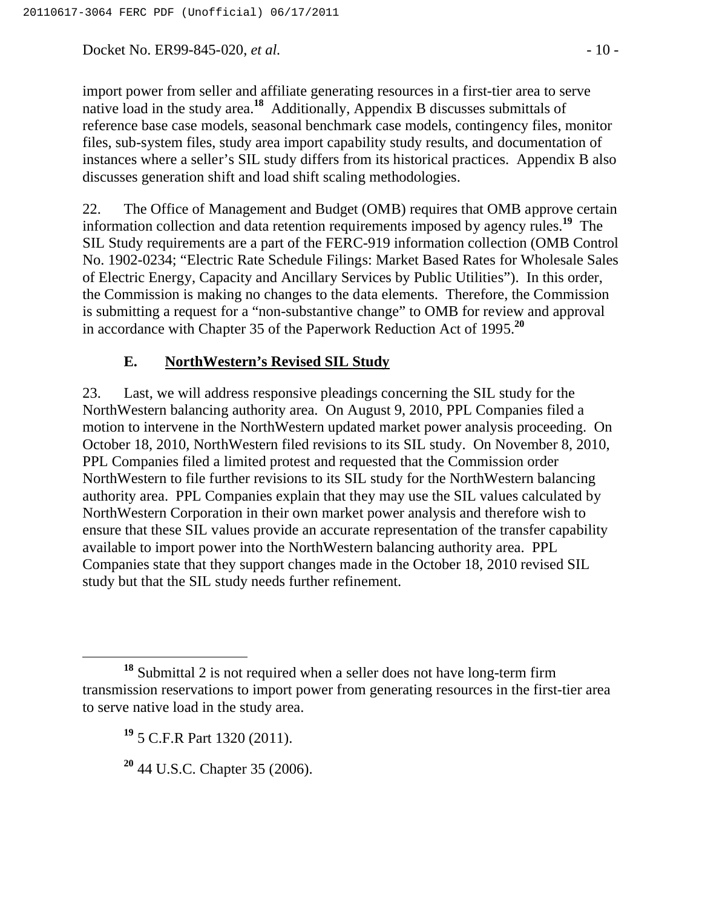Docket No. ER99-845-020, *et al.* - 10 -

import power from seller and affiliate generating resources in a first-tier area to serve native load in the study area.**<sup>18</sup>** Additionally, Appendix B discusses submittals of reference base case models, seasonal benchmark case models, contingency files, monitor files, sub-system files, study area import capability study results, and documentation of instances where a seller's SIL study differs from its historical practices. Appendix B also discusses generation shift and load shift scaling methodologies.

22. The Office of Management and Budget (OMB) requires that OMB approve certain information collection and data retention requirements imposed by agency rules.**<sup>19</sup>** The SIL Study requirements are a part of the FERC-919 information collection (OMB Control No. 1902-0234; "Electric Rate Schedule Filings: Market Based Rates for Wholesale Sales of Electric Energy, Capacity and Ancillary Services by Public Utilities"). In this order, the Commission is making no changes to the data elements. Therefore, the Commission is submitting a request for a "non-substantive change" to OMB for review and approval in accordance with Chapter 35 of the Paperwork Reduction Act of 1995.**<sup>20</sup>**

# **E. NorthWestern's Revised SIL Study**

23. Last, we will address responsive pleadings concerning the SIL study for the NorthWestern balancing authority area. On August 9, 2010, PPL Companies filed a motion to intervene in the NorthWestern updated market power analysis proceeding. On October 18, 2010, NorthWestern filed revisions to its SIL study. On November 8, 2010, PPL Companies filed a limited protest and requested that the Commission order NorthWestern to file further revisions to its SIL study for the NorthWestern balancing authority area. PPL Companies explain that they may use the SIL values calculated by NorthWestern Corporation in their own market power analysis and therefore wish to ensure that these SIL values provide an accurate representation of the transfer capability available to import power into the NorthWestern balancing authority area. PPL Companies state that they support changes made in the October 18, 2010 revised SIL study but that the SIL study needs further refinement.

**<sup>18</sup>** Submittal 2 is not required when a seller does not have long-term firm transmission reservations to import power from generating resources in the first-tier area to serve native load in the study area.

**<sup>19</sup>** 5 C.F.R Part 1320 (2011).

**<sup>20</sup>** 44 U.S.C. Chapter 35 (2006).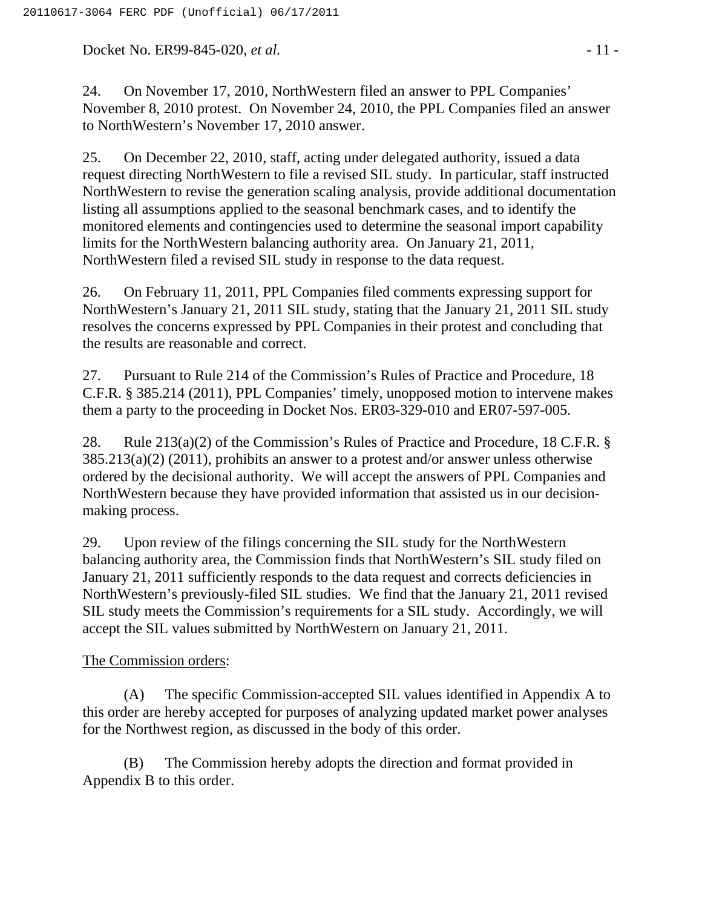Docket No. ER99-845-020, *et al.* - 11 -

24. On November 17, 2010, NorthWestern filed an answer to PPL Companies' November 8, 2010 protest. On November 24, 2010, the PPL Companies filed an answer to NorthWestern's November 17, 2010 answer.

25. On December 22, 2010, staff, acting under delegated authority, issued a data request directing NorthWestern to file a revised SIL study. In particular, staff instructed NorthWestern to revise the generation scaling analysis, provide additional documentation listing all assumptions applied to the seasonal benchmark cases, and to identify the monitored elements and contingencies used to determine the seasonal import capability limits for the NorthWestern balancing authority area. On January 21, 2011, NorthWestern filed a revised SIL study in response to the data request.

26. On February 11, 2011, PPL Companies filed comments expressing support for NorthWestern's January 21, 2011 SIL study, stating that the January 21, 2011 SIL study resolves the concerns expressed by PPL Companies in their protest and concluding that the results are reasonable and correct.

27. Pursuant to Rule 214 of the Commission's Rules of Practice and Procedure, 18 C.F.R. § 385.214 (2011), PPL Companies' timely, unopposed motion to intervene makes them a party to the proceeding in Docket Nos. ER03-329-010 and ER07-597-005.

28. Rule 213(a)(2) of the Commission's Rules of Practice and Procedure, 18 C.F.R. § 385.213(a)(2) (2011), prohibits an answer to a protest and/or answer unless otherwise ordered by the decisional authority. We will accept the answers of PPL Companies and NorthWestern because they have provided information that assisted us in our decisionmaking process.

29. Upon review of the filings concerning the SIL study for the NorthWestern balancing authority area, the Commission finds that NorthWestern's SIL study filed on January 21, 2011 sufficiently responds to the data request and corrects deficiencies in NorthWestern's previously-filed SIL studies. We find that the January 21, 2011 revised SIL study meets the Commission's requirements for a SIL study. Accordingly, we will accept the SIL values submitted by NorthWestern on January 21, 2011.

## The Commission orders:

(A) The specific Commission-accepted SIL values identified in Appendix A to this order are hereby accepted for purposes of analyzing updated market power analyses for the Northwest region, as discussed in the body of this order.

(B) The Commission hereby adopts the direction and format provided in Appendix B to this order.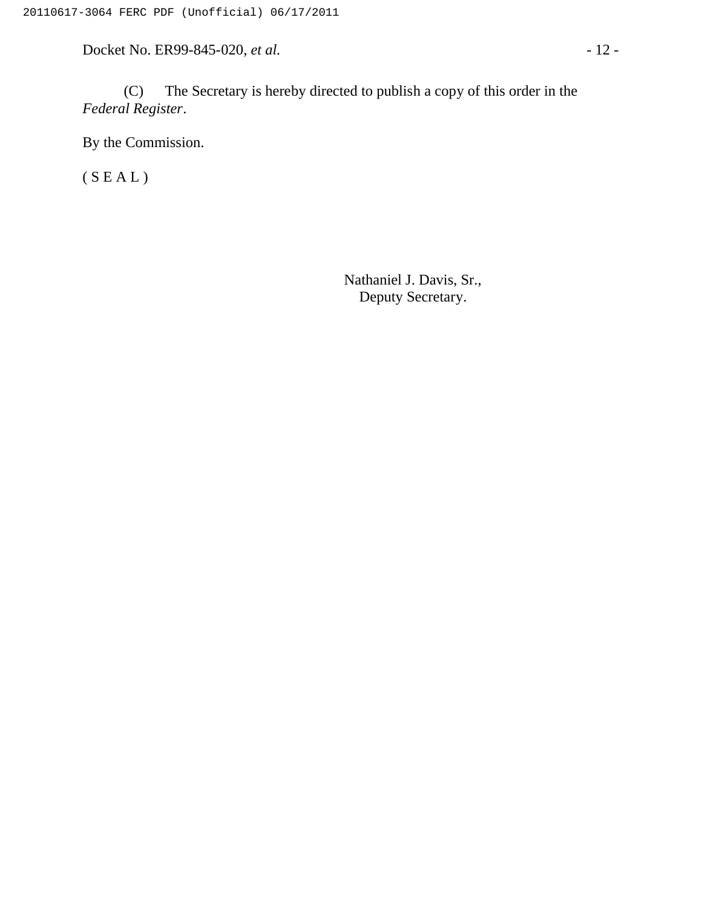Docket No. ER99-845-020, *et al.* - 12 -

(C) The Secretary is hereby directed to publish a copy of this order in the *Federal Register*.

By the Commission.

 $(S E A L)$ 

Nathaniel J. Davis, Sr., Deputy Secretary.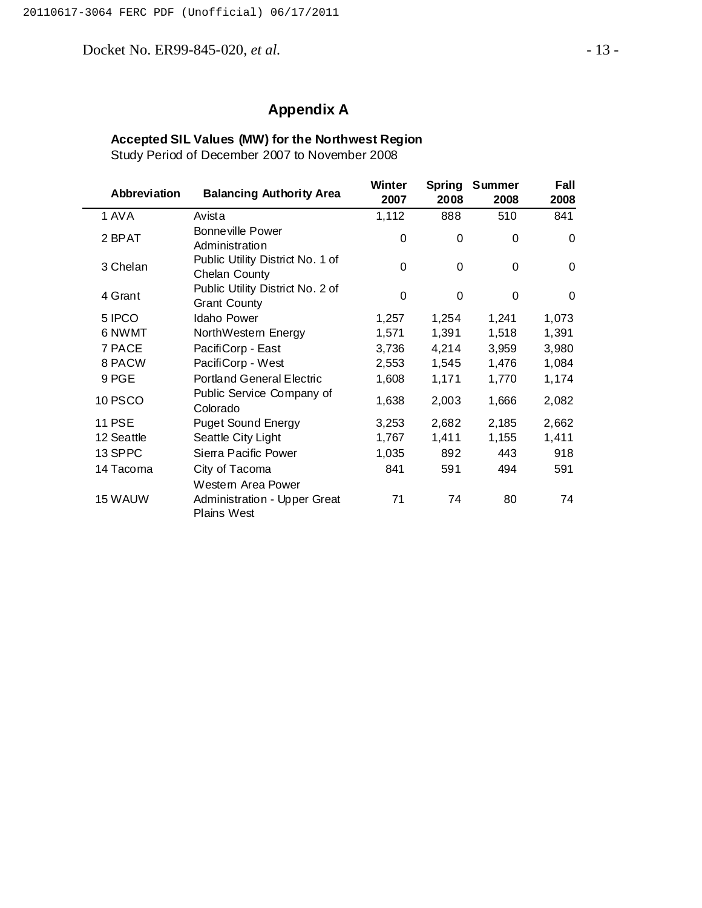Docket No. ER99-845-020, *et al.* - 13 -

# **Appendix A**

#### **Accepted SIL Values (MW) for the Northwest Region**

Study Period of December 2007 to November 2008

| Abbreviation  | <b>Balancing Authority Area</b>                                   | Winter<br>2007 | <b>Spring</b><br>2008 | <b>Summer</b><br>2008 | Fall<br>2008 |
|---------------|-------------------------------------------------------------------|----------------|-----------------------|-----------------------|--------------|
| 1 AVA         | Avista                                                            | 1,112          | 888                   | 510                   | 841          |
| 2 BPAT        | Bonneville Power<br>Administration                                | 0              | $\Omega$              | $\Omega$              | $\Omega$     |
| 3 Chelan      | Public Utility District No. 1 of<br>Chelan County                 | 0              | 0                     | 0                     | $\Omega$     |
| 4 Grant       | Public Utility District No. 2 of<br><b>Grant County</b>           | $\mathbf 0$    | $\Omega$              | $\Omega$              | 0            |
| 5 IPCO        | <b>Idaho Power</b>                                                | 1,257          | 1,254                 | 1,241                 | 1,073        |
| 6 NWMT        | NorthWestern Energy                                               | 1,571          | 1,391                 | 1,518                 | 1,391        |
| 7 PACE        | PacifiCorp - East                                                 | 3,736          | 4,214                 | 3,959                 | 3,980        |
| 8 PACW        | PacifiCorp - West                                                 | 2,553          | 1,545                 | 1,476                 | 1,084        |
| 9 PGE         | <b>Portland General Electric</b>                                  | 1,608          | 1,171                 | 1,770                 | 1,174        |
| 10 PSCO       | Public Service Company of<br>Colorado                             | 1,638          | 2,003                 | 1,666                 | 2,082        |
| <b>11 PSE</b> | <b>Puget Sound Energy</b>                                         | 3,253          | 2,682                 | 2,185                 | 2,662        |
| 12 Seattle    | Seattle City Light                                                | 1,767          | 1,411                 | 1,155                 | 1,411        |
| 13 SPPC       | Sierra Pacific Power                                              | 1,035          | 892                   | 443                   | 918          |
| 14 Tacoma     | City of Tacoma                                                    | 841            | 591                   | 494                   | 591          |
| 15 WAUW       | Western Area Power<br>Administration - Upper Great<br>Plains West | 71             | 74                    | 80                    | 74           |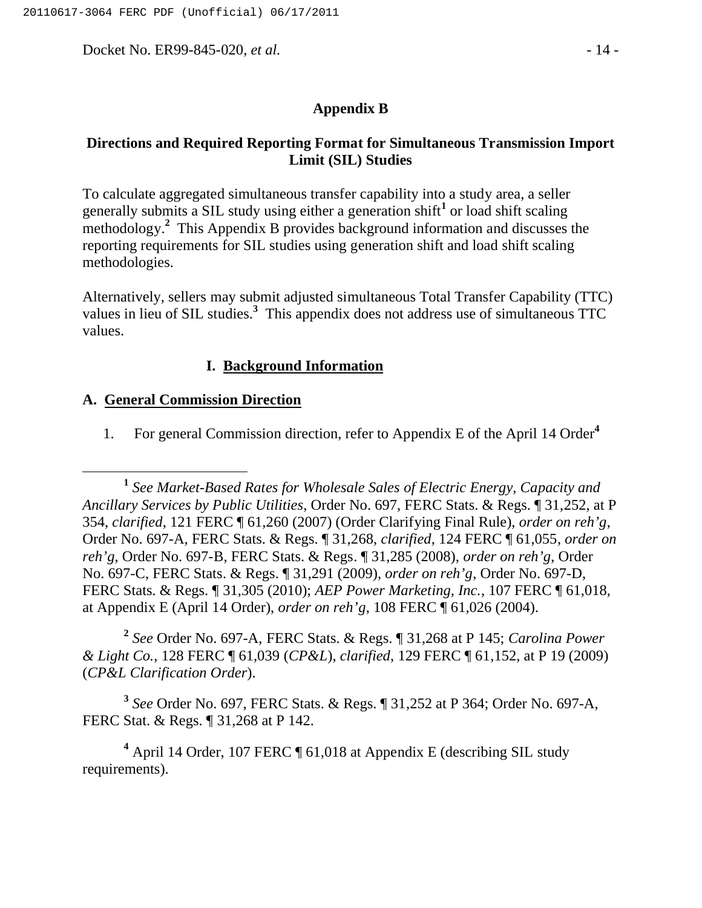Docket No. ER99-845-020, *et al.* - 14 -

#### **Appendix B**

#### **Directions and Required Reporting Format for Simultaneous Transmission Import Limit (SIL) Studies**

To calculate aggregated simultaneous transfer capability into a study area, a seller generally submits a SIL study using either a generation shift**<sup>1</sup>** or load shift scaling methodology.**<sup>2</sup>** This Appendix B provides background information and discusses the reporting requirements for SIL studies using generation shift and load shift scaling methodologies.

Alternatively, sellers may submit adjusted simultaneous Total Transfer Capability (TTC) values in lieu of SIL studies.**<sup>3</sup>** This appendix does not address use of simultaneous TTC values.

#### **I. Background Information**

#### **A. General Commission Direction**

1. For general Commission direction, refer to Appendix E of the April 14 Order**<sup>4</sup>**

**<sup>2</sup>** *See* Order No. 697-A, FERC Stats. & Regs. ¶ 31,268 at P 145; *Carolina Power & Light Co.,* 128 FERC ¶ 61,039 (*CP&L*), *clarified*, 129 FERC ¶ 61,152, at P 19 (2009) (*CP&L Clarification Order*).

**<sup>3</sup>** *See* Order No. 697, FERC Stats. & Regs. ¶ 31,252 at P 364; Order No. 697-A, FERC Stat. & Regs. ¶ 31,268 at P 142.

<sup>4</sup> April 14 Order, 107 FERC ¶ 61,018 at Appendix E (describing SIL study requirements).

**<sup>1</sup>** *See Market-Based Rates for Wholesale Sales of Electric Energy, Capacity and Ancillary Services by Public Utilities*, Order No. 697, FERC Stats. & Regs. ¶ 31,252, at P 354, *clarified*, 121 FERC ¶ 61,260 (2007) (Order Clarifying Final Rule), *order on reh'g*, Order No. 697-A, FERC Stats. & Regs. ¶ 31,268, *clarified*, 124 FERC ¶ 61,055, *order on reh'g*, Order No. 697-B, FERC Stats. & Regs. ¶ 31,285 (2008), *order on reh'g*, Order No. 697-C, FERC Stats. & Regs. ¶ 31,291 (2009), *order on reh'g*, Order No. 697-D, FERC Stats. & Regs. ¶ 31,305 (2010); *AEP Power Marketing, Inc.*, 107 FERC ¶ 61,018, at Appendix E (April 14 Order), *order on reh'g*, 108 FERC ¶ 61,026 (2004).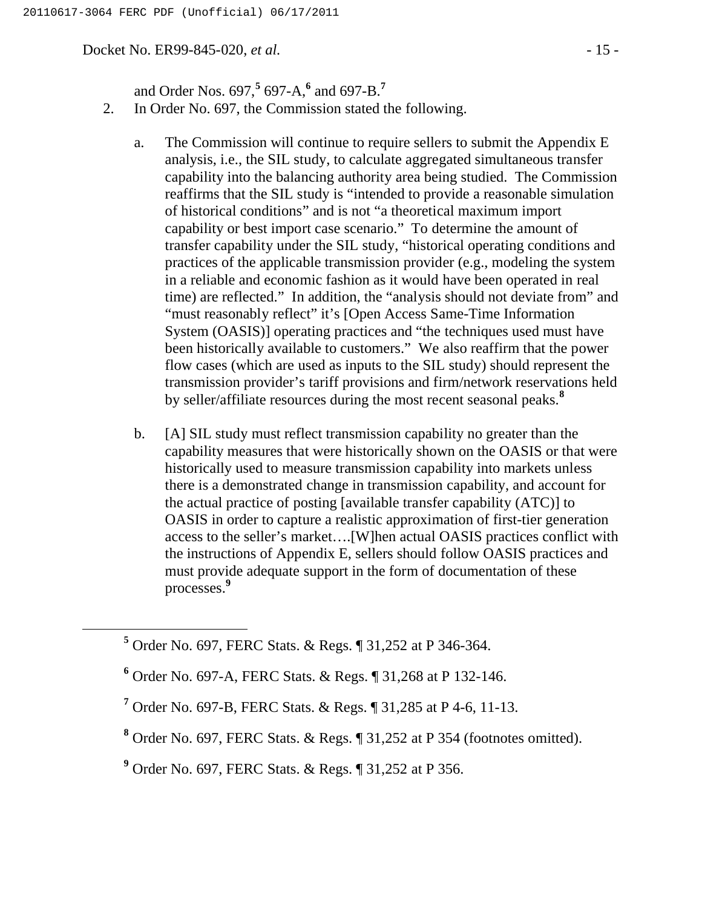Docket No. ER99-845-020, *et al.* - 15 -

and Order Nos. 697,**<sup>5</sup>** 697-A,**<sup>6</sup>** and 697-B.**<sup>7</sup>**

- 2. In Order No. 697, the Commission stated the following.
	- a. The Commission will continue to require sellers to submit the Appendix E analysis, i.e., the SIL study, to calculate aggregated simultaneous transfer capability into the balancing authority area being studied. The Commission reaffirms that the SIL study is "intended to provide a reasonable simulation of historical conditions" and is not "a theoretical maximum import capability or best import case scenario." To determine the amount of transfer capability under the SIL study, "historical operating conditions and practices of the applicable transmission provider (e.g., modeling the system in a reliable and economic fashion as it would have been operated in real time) are reflected." In addition, the "analysis should not deviate from" and "must reasonably reflect" it's [Open Access Same-Time Information System (OASIS)] operating practices and "the techniques used must have been historically available to customers." We also reaffirm that the power flow cases (which are used as inputs to the SIL study) should represent the transmission provider's tariff provisions and firm/network reservations held by seller/affiliate resources during the most recent seasonal peaks.**<sup>8</sup>**
	- b. [A] SIL study must reflect transmission capability no greater than the capability measures that were historically shown on the OASIS or that were historically used to measure transmission capability into markets unless there is a demonstrated change in transmission capability, and account for the actual practice of posting [available transfer capability (ATC)] to OASIS in order to capture a realistic approximation of first-tier generation access to the seller's market….[W]hen actual OASIS practices conflict with the instructions of Appendix E, sellers should follow OASIS practices and must provide adequate support in the form of documentation of these processes.**<sup>9</sup>**

**<sup>5</sup>** Order No. 697, FERC Stats. & Regs. ¶ 31,252 at P 346-364.

**<sup>6</sup>** Order No. 697-A, FERC Stats. & Regs. ¶ 31,268 at P 132-146.

**<sup>7</sup>** Order No. 697-B, FERC Stats. & Regs. ¶ 31,285 at P 4-6, 11-13.

**<sup>8</sup>** Order No. 697, FERC Stats. & Regs. ¶ 31,252 at P 354 (footnotes omitted).

**<sup>9</sup>** Order No. 697, FERC Stats. & Regs. ¶ 31,252 at P 356.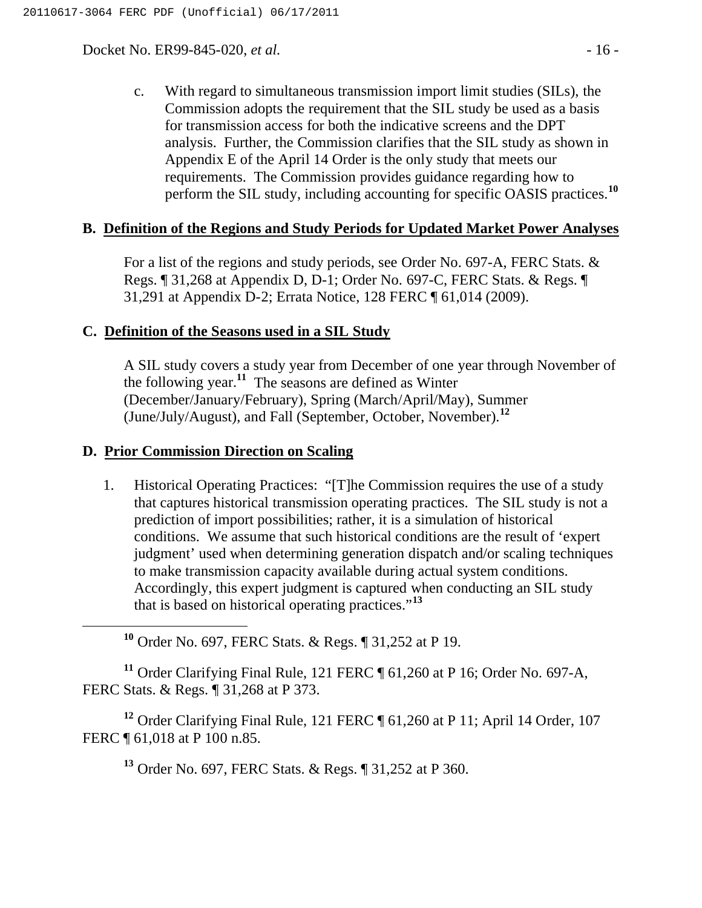Docket No. ER99-845-020, *et al.* - 16 -

c. With regard to simultaneous transmission import limit studies (SILs), the Commission adopts the requirement that the SIL study be used as a basis for transmission access for both the indicative screens and the DPT analysis. Further, the Commission clarifies that the SIL study as shown in Appendix E of the April 14 Order is the only study that meets our requirements. The Commission provides guidance regarding how to perform the SIL study, including accounting for specific OASIS practices.**<sup>10</sup>**

#### **B. Definition of the Regions and Study Periods for Updated Market Power Analyses**

For a list of the regions and study periods, see Order No. 697-A, FERC Stats. & Regs. ¶ 31,268 at Appendix D, D-1; Order No. 697-C, FERC Stats. & Regs. ¶ 31,291 at Appendix D-2; Errata Notice, 128 FERC ¶ 61,014 (2009).

#### **C. Definition of the Seasons used in a SIL Study**

A SIL study covers a study year from December of one year through November of the following year.**<sup>11</sup>** The seasons are defined as Winter (December/January/February), Spring (March/April/May), Summer (June/July/August), and Fall (September, October, November).**<sup>12</sup>**

#### **D. Prior Commission Direction on Scaling**

1. Historical Operating Practices: "[T]he Commission requires the use of a study that captures historical transmission operating practices. The SIL study is not a prediction of import possibilities; rather, it is a simulation of historical conditions. We assume that such historical conditions are the result of 'expert judgment' used when determining generation dispatch and/or scaling techniques to make transmission capacity available during actual system conditions. Accordingly, this expert judgment is captured when conducting an SIL study that is based on historical operating practices."**<sup>13</sup>**

**<sup>10</sup>** Order No. 697, FERC Stats. & Regs. ¶ 31,252 at P 19.

**<sup>11</sup>** Order Clarifying Final Rule, 121 FERC ¶ 61,260 at P 16; Order No. 697-A, FERC Stats. & Regs. ¶ 31,268 at P 373.

<sup>12</sup> Order Clarifying Final Rule, 121 FERC ¶ 61,260 at P 11; April 14 Order, 107 FERC ¶ 61,018 at P 100 n.85.

**<sup>13</sup>** Order No. 697, FERC Stats. & Regs. ¶ 31,252 at P 360.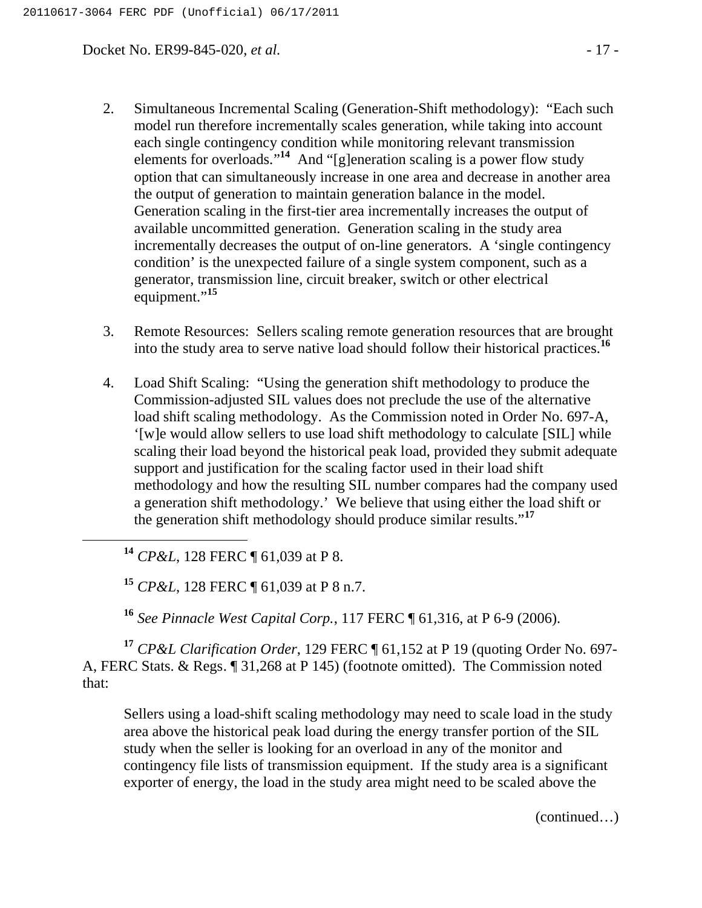Docket No. ER99-845-020, *et al.* - 17 -

- 2. Simultaneous Incremental Scaling (Generation-Shift methodology): "Each such model run therefore incrementally scales generation, while taking into account each single contingency condition while monitoring relevant transmission elements for overloads."<sup>14</sup> And "[g]eneration scaling is a power flow study option that can simultaneously increase in one area and decrease in another area the output of generation to maintain generation balance in the model. Generation scaling in the first-tier area incrementally increases the output of available uncommitted generation. Generation scaling in the study area incrementally decreases the output of on-line generators. A 'single contingency condition' is the unexpected failure of a single system component, such as a generator, transmission line, circuit breaker, switch or other electrical equipment."<sup>15</sup>
- 3. Remote Resources: Sellers scaling remote generation resources that are brought into the study area to serve native load should follow their historical practices.**<sup>16</sup>**
- 4. Load Shift Scaling: "Using the generation shift methodology to produce the Commission-adjusted SIL values does not preclude the use of the alternative load shift scaling methodology. As the Commission noted in Order No. 697-A, '[w]e would allow sellers to use load shift methodology to calculate [SIL] while scaling their load beyond the historical peak load, provided they submit adequate support and justification for the scaling factor used in their load shift methodology and how the resulting SIL number compares had the company used a generation shift methodology.' We believe that using either the load shift or the generation shift methodology should produce similar results."**<sup>17</sup>**

**<sup>14</sup>** *CP&L*, 128 FERC ¶ 61,039 at P 8.

**<sup>15</sup>** *CP&L*, 128 FERC ¶ 61,039 at P 8 n.7.

**<sup>16</sup>** *See Pinnacle West Capital Corp.*, 117 FERC ¶ 61,316, at P 6-9 (2006).

**<sup>17</sup>** *CP&L Clarification Order*, 129 FERC ¶ 61,152 at P 19 (quoting Order No. 697- A, FERC Stats. & Regs. ¶ 31,268 at P 145) (footnote omitted). The Commission noted that:

Sellers using a load-shift scaling methodology may need to scale load in the study area above the historical peak load during the energy transfer portion of the SIL study when the seller is looking for an overload in any of the monitor and contingency file lists of transmission equipment. If the study area is a significant exporter of energy, the load in the study area might need to be scaled above the

(continued…)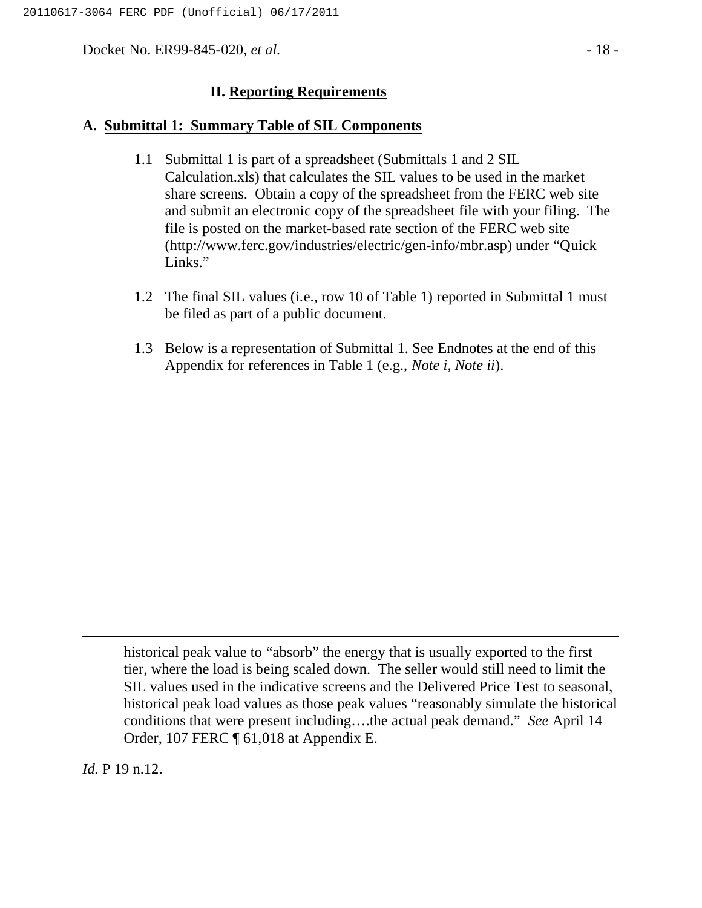Docket No. ER99-845-020, *et al.* - 18 -

#### **II. Reporting Requirements**

#### **A. Submittal 1: Summary Table of SIL Components**

- 1.1 Submittal 1 is part of a spreadsheet (Submittals 1 and 2 SIL Calculation.xls) that calculates the SIL values to be used in the market share screens. Obtain a copy of the spreadsheet from the FERC web site and submit an electronic copy of the spreadsheet file with your filing. The file is posted on the market-based rate section of the FERC web site (http://www.ferc.gov/industries/electric/gen-info/mbr.asp) under "Quick Links."
- 1.2 The final SIL values (i.e., row 10 of Table 1) reported in Submittal 1 must be filed as part of a public document.
- 1.3 Below is a representation of Submittal 1. See Endnotes at the end of this Appendix for references in Table 1 (e.g., *Note i, Note ii*).

historical peak value to "absorb" the energy that is usually exported to the first tier, where the load is being scaled down. The seller would still need to limit the SIL values used in the indicative screens and the Delivered Price Test to seasonal, historical peak load values as those peak values "reasonably simulate the historical conditions that were present including….the actual peak demand." *See* April 14 Order, 107 FERC ¶ 61,018 at Appendix E.

*Id.* P 19 n.12.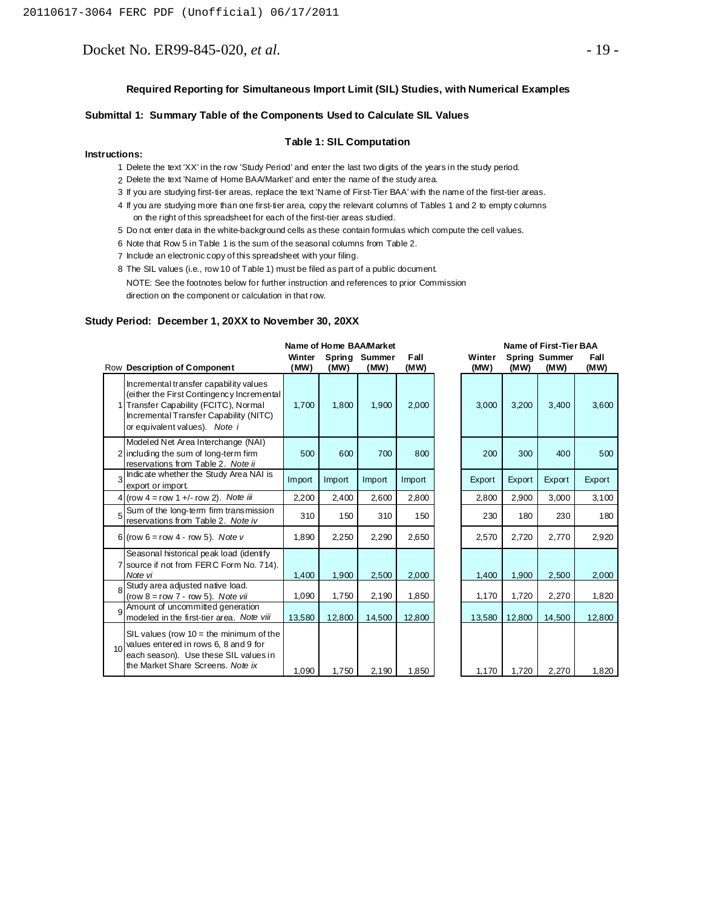Docket No. ER99-845-020, *et al.* - 19 -

#### **Submittal 1: Summary Table of the Components Used to Calculate SIL Values**

#### **Table 1: SIL Computation**

#### **Instructions:**

- 1 Delete the text 'XX' in the row 'Study Period' and enter the last two digits of the years in the study period.
- 2 Delete the text 'Name of Home BAA/Market' and enter the name of the study area.
- 3 If you are studying first-tier areas, replace the text 'Name of First-Tier BAA' with the name of the first-tier areas.
- 4 If you are studying more than one first-tier area, copy the relevant columns of Tables 1 and 2 to empty columns on the right of this spreadsheet for each of the first-tier areas studied.
- 5 Do not enter data in the white-background cells as these contain formulas which compute the cell values.
- 6 Note that Row 5 in Table 1 is the sum of the seasonal columns from Table 2.
- 7 Include an electronic copy of this spreadsheet with your filing.
- 8 The SIL values (i.e., row 10 of Table 1) must be filed as part of a public document. NOTE: See the footnotes below for further instruction and references to prior Commission

direction on the component or calculation in that row.

#### **Study Period: December 1, 20XX to November 30, 20XX**

|                 |                                                                                                                                                                                                       | Name of Home BAA/Market |        |                       |              |  | <b>Name of First-Tier BAA</b> |        |                              |              |
|-----------------|-------------------------------------------------------------------------------------------------------------------------------------------------------------------------------------------------------|-------------------------|--------|-----------------------|--------------|--|-------------------------------|--------|------------------------------|--------------|
|                 | Row Description of Component                                                                                                                                                                          | Winter<br>(MW)          | (MW)   | Spring Summer<br>(MW) | Fall<br>(MW) |  | Winter<br>(MW)                | (MW)   | <b>Spring Summer</b><br>(MW) | Fall<br>(MW) |
|                 | Incremental transfer capability values<br>(either the First Contingency Incremental<br>Transfer Capability (FCITC), Normal<br>Incremental Transfer Capability (NITC)<br>or equivalent values). Note i | 1,700                   | 1,800  | 1,900                 | 2,000        |  | 3,000                         | 3,200  | 3,400                        | 3,600        |
|                 | Modeled Net Area Interchange (NAI)<br>2 including the sum of long-term firm<br>reservations from Table 2. Note ii                                                                                     | 500                     | 600    | 700                   | 800          |  | 200                           | 300    | 400                          | 500          |
| 3               | Indicate whether the Study Area NAI is<br>export or import.                                                                                                                                           | Import                  | Import | Import                | Import       |  | Export                        | Export | Export                       | Export       |
|                 | 4 (row $4 = row 1 +/- row 2$ ). Note iii                                                                                                                                                              | 2,200                   | 2,400  | 2,600                 | 2,800        |  | 2,800                         | 2,900  | 3,000                        | 3,100        |
| 5               | Sum of the long-term firm transmission<br>reservations from Table 2. Note iv                                                                                                                          | 310                     | 150    | 310                   | 150          |  | 230                           | 180    | 230                          | 180          |
|                 | 6 (row 6 = row 4 - row 5). Note v                                                                                                                                                                     | 1,890                   | 2,250  | 2,290                 | 2,650        |  | 2,570                         | 2,720  | 2,770                        | 2,920        |
|                 | Seasonal historical peak load (identify<br>7 source if not from FERC Form No. 714).<br>Note vi                                                                                                        | 1,400                   | 1,900  | 2,500                 | 2,000        |  | 1,400                         | 1,900  | 2,500                        | 2,000        |
| 8               | Study area adjusted native load.<br>(row $8 = row 7 - row 5$ ). Note vii                                                                                                                              | 1,090                   | 1,750  | 2,190                 | 1,850        |  | 1,170                         | 1,720  | 2,270                        | 1,820        |
| 9               | Amount of uncommitted generation<br>modeled in the first-tier area. Note viii                                                                                                                         | 13,580                  | 12,800 | 14,500                | 12,800       |  | 13,580                        | 12,800 | 14,500                       | 12,800       |
| 10 <sup>1</sup> | SIL values (row $10 =$ the minimum of the<br>values entered in rows 6, 8 and 9 for<br>each season). Use these SIL values in<br>the Market Share Screens. Note ix                                      | 1,090                   | 1,750  | 2,190                 | 1,850        |  | 1,170                         | 1,720  | 2,270                        | 1,820        |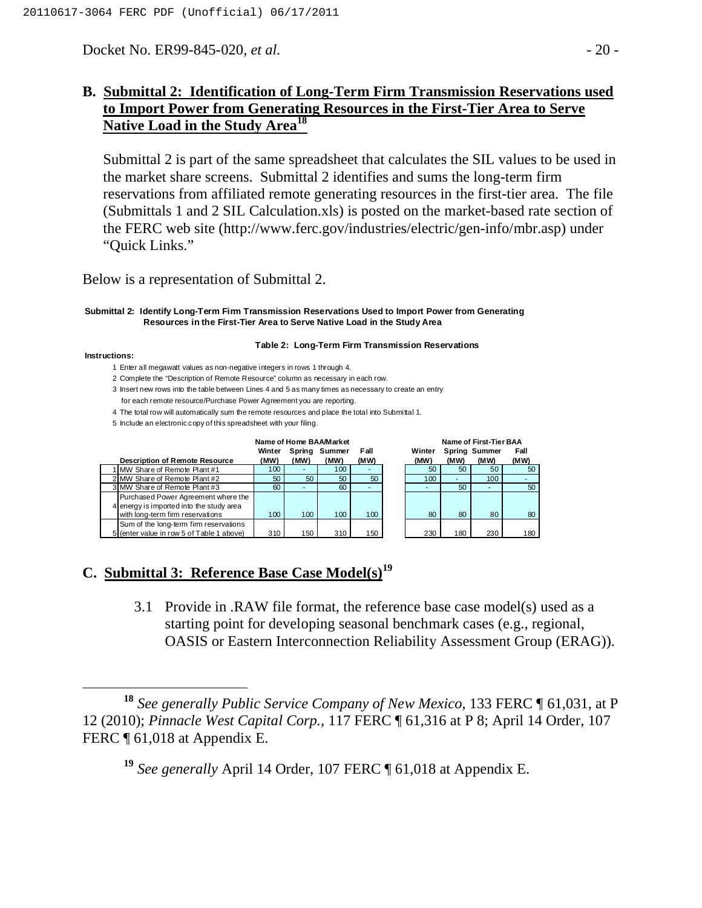Docket No. ER99-845-020, *et al.* - 20 -

## **B. Submittal 2: Identification of Long-Term Firm Transmission Reservations used to Import Power from Generating Resources in the First-Tier Area to Serve Native Load in the Study Area<sup>18</sup>**

Submittal 2 is part of the same spreadsheet that calculates the SIL values to be used in the market share screens. Submittal 2 identifies and sums the long-term firm reservations from affiliated remote generating resources in the first-tier area. The file (Submittals 1 and 2 SIL Calculation.xls) is posted on the market-based rate section of the FERC web site (http://www.ferc.gov/industries/electric/gen-info/mbr.asp) under "Quick Links."

Below is a representation of Submittal 2.

**Submittal 2: Identify Long-Term Firm Transmission Reservations Used to Import Power from Generating Resources in the First-Tier Area to Serve Native Load in the Study Area**

#### **Table 2: Long-Term Firm Transmission Reservations**

**Instructions:**

- 1 Enter all megawatt values as non-negative integers in rows 1 through 4.
- 2 Complete the "Description of Remote Resource" column as necessary in each row.
- 3 Insert new rows into the table between Lines 4 and 5 as many times as necessary to create an entry for each remote resource/Purchase Power Agreement you are reporting.
- 4 The total row will automatically sum the remote resources and place the total into Submittal 1.
- 5 Include an electronic copy of this spreadsheet with your filing.

| Name of Home BAA/Market |                                                                                     |      |        |        |      | Name of First-Lier BAA |        |      |                      |      |
|-------------------------|-------------------------------------------------------------------------------------|------|--------|--------|------|------------------------|--------|------|----------------------|------|
|                         |                                                                                     |      | Spring | Summer | Fall |                        | Winter |      | <b>Spring Summer</b> | Fall |
|                         | <b>Description of Remote Resource</b>                                               | (MW) | (MW)   | (MW)   | (MW) |                        | (MW)   | (MW) | (MW)                 | (MW) |
|                         | MW Share of Remote Plant #1                                                         | 100  |        | 100    | ۰.   |                        | 50     | 50   | 50                   | 50   |
|                         | 2 MW Share of Remote Plant #2                                                       | 50   | 50     | 50     | 50   |                        | 100    |      | 100 <sub>1</sub>     |      |
|                         | 3 MW Share of Remote Plant #3                                                       | 60   |        | 60     |      |                        |        | 50   |                      | 50   |
|                         | Purchased Power Agreement where the<br>4 energy is imported into the study area     |      |        |        |      |                        |        |      |                      |      |
|                         | with long-term firm reservations                                                    | 100  | 100    | 100    | 100  |                        | 80     | 80   | 80                   | 80   |
|                         | Sum of the long-term firm reservations<br>5 (enter value in row 5 of Table 1 above) | 310  | 150    | 310    | 150  |                        | 230    | 180  | 230                  | 180  |

|        |        | Name of Home BAA/Market |      | <b>Name of First-Tier BAA</b> |                      |      |      |  |  |
|--------|--------|-------------------------|------|-------------------------------|----------------------|------|------|--|--|
| Winter | Spring | Summer                  | Fall | Winter                        | <b>Spring Summer</b> | Fall |      |  |  |
| (MW)   | (MW)   | (MW)                    | (MW) | (MW)                          | (MW)                 | (MW) | (MW) |  |  |
| 100    |        | 100                     |      | 50                            | 50                   | 50   | 50   |  |  |
| 50     | 50     | 50                      | 50   | 100                           |                      | 100  |      |  |  |
| 60     |        | 60                      |      |                               | 50                   |      | 50   |  |  |
| 100    | 100    | 100                     | 100  | 80                            | 80                   | 80   | 80   |  |  |
| 310    | 150    | 210                     | 150  | つつへ                           | 1.80                 | າາດ  | 1.80 |  |  |

# **C. Submittal 3: Reference Base Case Model(s)<sup>19</sup>**

3.1 Provide in .RAW file format, the reference base case model(s) used as a starting point for developing seasonal benchmark cases (e.g., regional, OASIS or Eastern Interconnection Reliability Assessment Group (ERAG)).

 **<sup>18</sup>** *See generally Public Service Company of New Mexico*, 133 FERC ¶ 61,031, at P 12 (2010); *Pinnacle West Capital Corp.*, 117 FERC ¶ 61,316 at P 8; April 14 Order, 107 FERC ¶ 61,018 at Appendix E.

**<sup>19</sup>** *See generally* April 14 Order, 107 FERC ¶ 61,018 at Appendix E.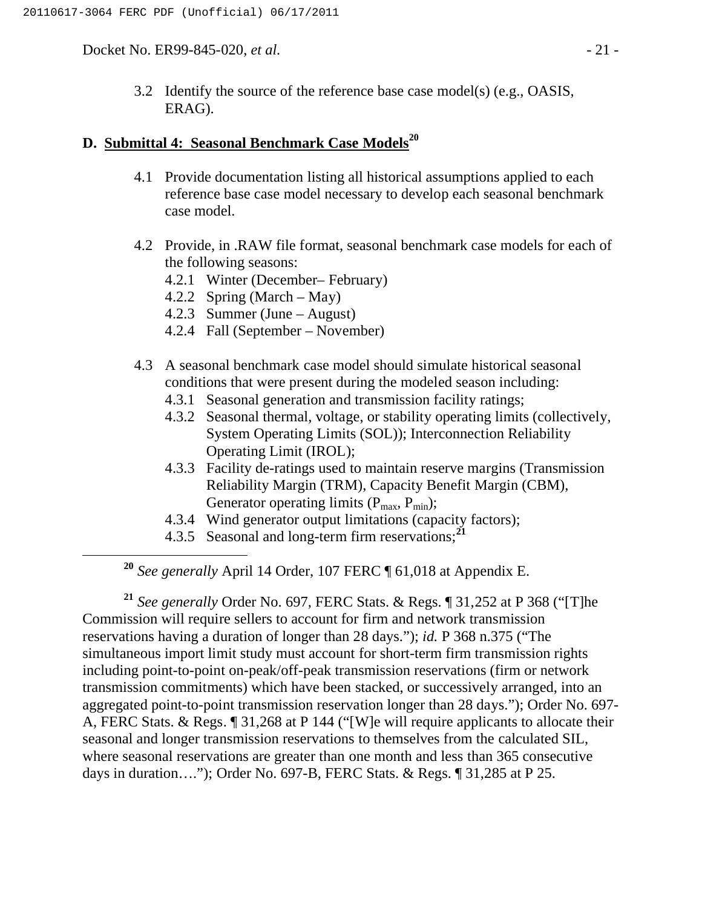Docket No. ER99-845-020, *et al.* - 21 -

3.2 Identify the source of the reference base case model(s) (e.g., OASIS, ERAG).

### **D. Submittal 4: Seasonal Benchmark Case Models<sup>20</sup>**

- 4.1 Provide documentation listing all historical assumptions applied to each reference base case model necessary to develop each seasonal benchmark case model.
- 4.2 Provide, in .RAW file format, seasonal benchmark case models for each of the following seasons:
	- 4.2.1 Winter (December– February)
	- 4.2.2 Spring (March May)
	- 4.2.3 Summer (June August)
	- 4.2.4 Fall (September November)
- 4.3 A seasonal benchmark case model should simulate historical seasonal conditions that were present during the modeled season including:
	- 4.3.1 Seasonal generation and transmission facility ratings;
	- 4.3.2 Seasonal thermal, voltage, or stability operating limits (collectively, System Operating Limits (SOL)); Interconnection Reliability Operating Limit (IROL);
	- 4.3.3 Facility de-ratings used to maintain reserve margins (Transmission Reliability Margin (TRM), Capacity Benefit Margin (CBM), Generator operating limits  $(P_{max}, P_{min});$
	- 4.3.4 Wind generator output limitations (capacity factors);
	- 4.3.5 Seasonal and long-term firm reservations;**<sup>21</sup>**

**<sup>20</sup>** *See generally* April 14 Order, 107 FERC ¶ 61,018 at Appendix E.

**<sup>21</sup>** *See generally* Order No. 697, FERC Stats. & Regs. ¶ 31,252 at P 368 ("[T]he Commission will require sellers to account for firm and network transmission reservations having a duration of longer than 28 days."); *id.* P 368 n.375 ("The simultaneous import limit study must account for short-term firm transmission rights including point-to-point on-peak/off-peak transmission reservations (firm or network transmission commitments) which have been stacked, or successively arranged, into an aggregated point-to-point transmission reservation longer than 28 days."); Order No. 697- A, FERC Stats. & Regs. ¶ 31,268 at P 144 ("[W]e will require applicants to allocate their seasonal and longer transmission reservations to themselves from the calculated SIL, where seasonal reservations are greater than one month and less than 365 consecutive days in duration…."); Order No. 697-B, FERC Stats. & Regs. ¶ 31,285 at P 25.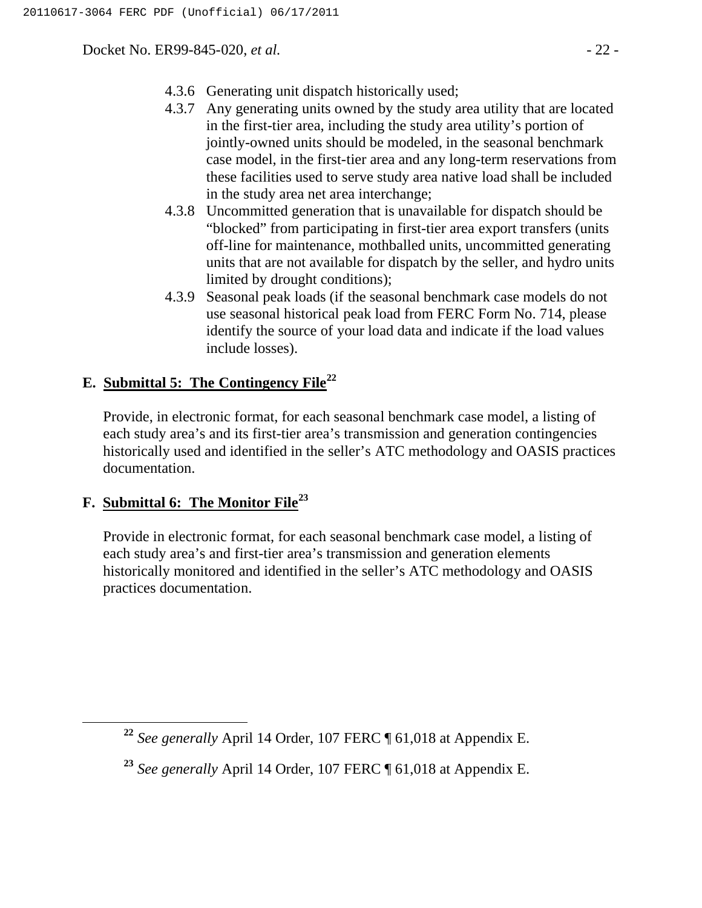Docket No. ER99-845-020, *et al.* - 22 -

- 4.3.6 Generating unit dispatch historically used;
- 4.3.7 Any generating units owned by the study area utility that are located in the first-tier area, including the study area utility's portion of jointly-owned units should be modeled, in the seasonal benchmark case model, in the first-tier area and any long-term reservations from these facilities used to serve study area native load shall be included in the study area net area interchange;
- 4.3.8 Uncommitted generation that is unavailable for dispatch should be "blocked" from participating in first-tier area export transfers (units off-line for maintenance, mothballed units, uncommitted generating units that are not available for dispatch by the seller, and hydro units limited by drought conditions);
- 4.3.9 Seasonal peak loads (if the seasonal benchmark case models do not use seasonal historical peak load from FERC Form No. 714, please identify the source of your load data and indicate if the load values include losses).

# **E. Submittal 5: The Contingency File<sup>22</sup>**

Provide, in electronic format, for each seasonal benchmark case model, a listing of each study area's and its first-tier area's transmission and generation contingencies historically used and identified in the seller's ATC methodology and OASIS practices documentation.

# **F. Submittal 6: The Monitor File<sup>23</sup>**

Provide in electronic format, for each seasonal benchmark case model, a listing of each study area's and first-tier area's transmission and generation elements historically monitored and identified in the seller's ATC methodology and OASIS practices documentation.

**<sup>22</sup>** *See generally* April 14 Order, 107 FERC ¶ 61,018 at Appendix E.

**<sup>23</sup>** *See generally* April 14 Order, 107 FERC ¶ 61,018 at Appendix E.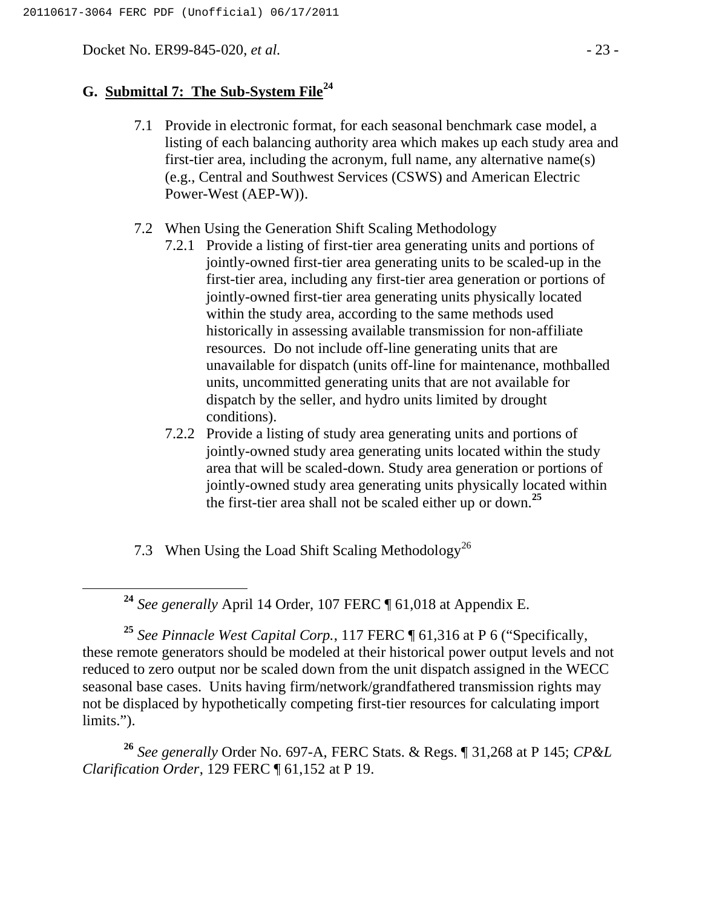Docket No. ER99-845-020, *et al.* - 23 -

# **G. Submittal 7: The Sub-System File<sup>24</sup>**

- 7.1 Provide in electronic format, for each seasonal benchmark case model, a listing of each balancing authority area which makes up each study area and first-tier area, including the acronym, full name, any alternative name(s) (e.g., Central and Southwest Services (CSWS) and American Electric Power-West (AEP-W)).
- 7.2 When Using the Generation Shift Scaling Methodology
	- 7.2.1 Provide a listing of first-tier area generating units and portions of jointly-owned first-tier area generating units to be scaled-up in the first-tier area, including any first-tier area generation or portions of jointly-owned first-tier area generating units physically located within the study area, according to the same methods used historically in assessing available transmission for non-affiliate resources. Do not include off-line generating units that are unavailable for dispatch (units off-line for maintenance, mothballed units, uncommitted generating units that are not available for dispatch by the seller, and hydro units limited by drought conditions).
	- 7.2.2 Provide a listing of study area generating units and portions of jointly-owned study area generating units located within the study area that will be scaled-down. Study area generation or portions of jointly-owned study area generating units physically located within the first-tier area shall not be scaled either up or down.**<sup>25</sup>**

7.3 When Using the Load Shift Scaling Methodology<sup>26</sup>

**<sup>25</sup>** *See Pinnacle West Capital Corp.*, 117 FERC ¶ 61,316 at P 6 ("Specifically, these remote generators should be modeled at their historical power output levels and not reduced to zero output nor be scaled down from the unit dispatch assigned in the WECC seasonal base cases. Units having firm/network/grandfathered transmission rights may not be displaced by hypothetically competing first-tier resources for calculating import limits.").

**<sup>26</sup>** *See generally* Order No. 697-A, FERC Stats. & Regs. ¶ 31,268 at P 145; *CP&L Clarification Order*, 129 FERC ¶ 61,152 at P 19.

**<sup>24</sup>** *See generally* April 14 Order, 107 FERC ¶ 61,018 at Appendix E.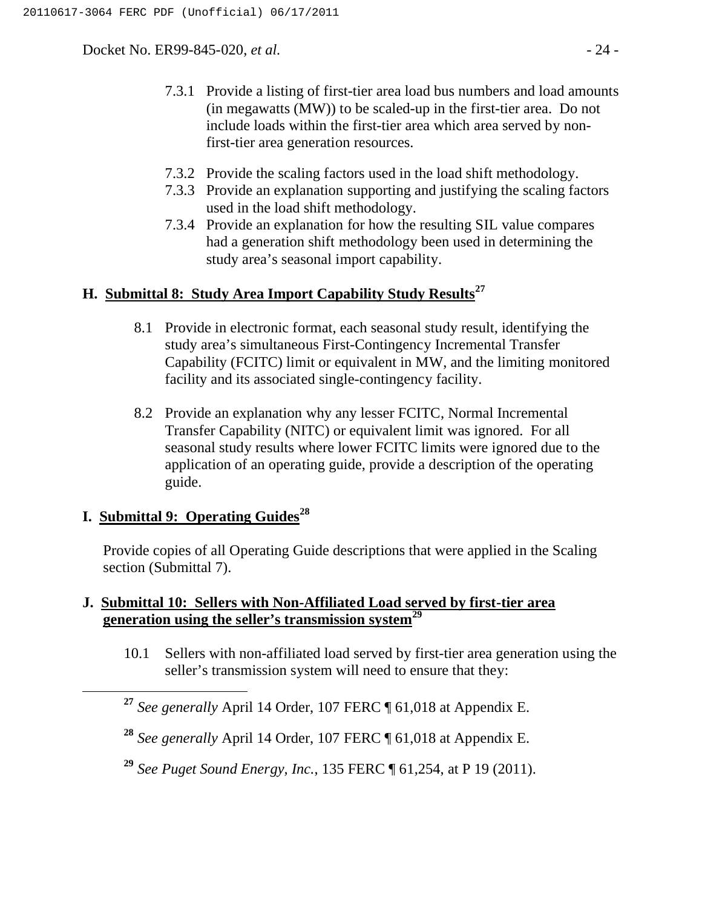Docket No. ER99-845-020, *et al.*  $\blacksquare$  - 24 -

- 7.3.1 Provide a listing of first-tier area load bus numbers and load amounts (in megawatts (MW)) to be scaled-up in the first-tier area. Do not include loads within the first-tier area which area served by nonfirst-tier area generation resources.
- 7.3.2 Provide the scaling factors used in the load shift methodology.
- 7.3.3 Provide an explanation supporting and justifying the scaling factors used in the load shift methodology.
- 7.3.4 Provide an explanation for how the resulting SIL value compares had a generation shift methodology been used in determining the study area's seasonal import capability.

# **H. Submittal 8: Study Area Import Capability Study Results<sup>27</sup>**

- 8.1 Provide in electronic format, each seasonal study result, identifying the study area's simultaneous First-Contingency Incremental Transfer Capability (FCITC) limit or equivalent in MW, and the limiting monitored facility and its associated single-contingency facility.
- 8.2 Provide an explanation why any lesser FCITC, Normal Incremental Transfer Capability (NITC) or equivalent limit was ignored. For all seasonal study results where lower FCITC limits were ignored due to the application of an operating guide, provide a description of the operating guide.

# **I. Submittal 9: Operating Guides<sup>28</sup>**

Provide copies of all Operating Guide descriptions that were applied in the Scaling section (Submittal 7).

## **J. Submittal 10: Sellers with Non-Affiliated Load served by first-tier area generation using the seller's transmission system<sup>29</sup>**

10.1 Sellers with non-affiliated load served by first-tier area generation using the seller's transmission system will need to ensure that they:

**<sup>27</sup>** *See generally* April 14 Order, 107 FERC ¶ 61,018 at Appendix E.

**<sup>28</sup>** *See generally* April 14 Order, 107 FERC ¶ 61,018 at Appendix E.

**<sup>29</sup>** *See Puget Sound Energy, Inc.*, 135 FERC ¶ 61,254, at P 19 (2011).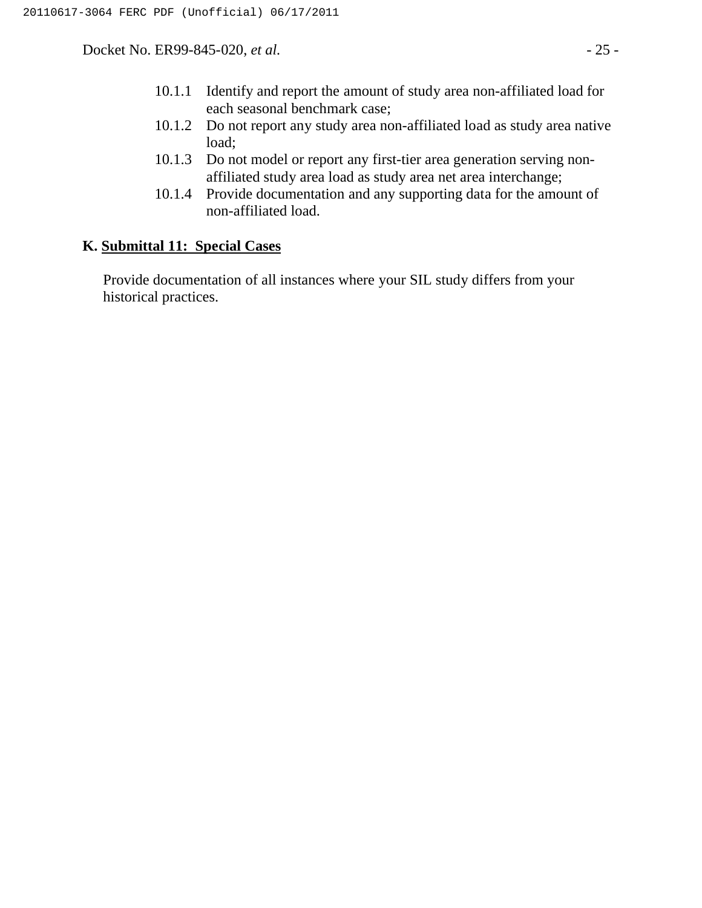Docket No. ER99-845-020, *et al.* - 25 -

- 10.1.1 Identify and report the amount of study area non-affiliated load for each seasonal benchmark case;
- 10.1.2 Do not report any study area non-affiliated load as study area native load;
- 10.1.3 Do not model or report any first-tier area generation serving nonaffiliated study area load as study area net area interchange;
- 10.1.4 Provide documentation and any supporting data for the amount of non-affiliated load.

#### **K. Submittal 11: Special Cases**

Provide documentation of all instances where your SIL study differs from your historical practices.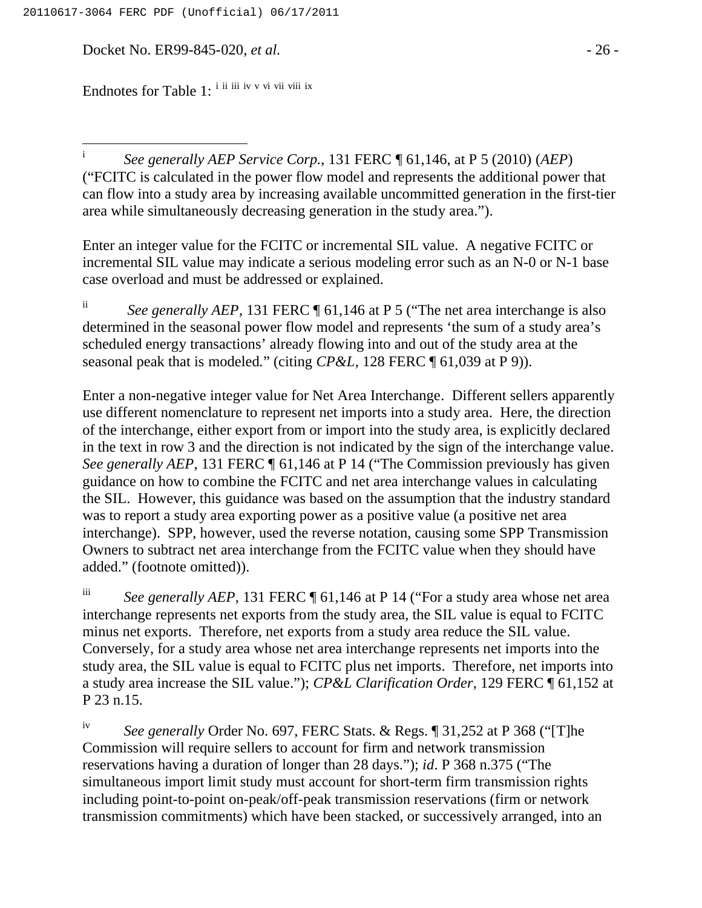Docket No. ER99-845-020, *et al.* - 26 -

Endnotes for Table 1: <sup>i ii iii</sup> iv v vi vii viii ix

 $\mathbf{i}$ <sup>i</sup> *See generally AEP Service Corp.*, 131 FERC ¶ 61,146, at P 5 (2010) (*AEP*) ("FCITC is calculated in the power flow model and represents the additional power that can flow into a study area by increasing available uncommitted generation in the first-tier area while simultaneously decreasing generation in the study area.").

Enter an integer value for the FCITC or incremental SIL value. A negative FCITC or incremental SIL value may indicate a serious modeling error such as an N-0 or N-1 base case overload and must be addressed or explained.

<sup>ii</sup> *See generally AEP*, 131 FERC ¶ 61,146 at P 5 ("The net area interchange is also determined in the seasonal power flow model and represents 'the sum of a study area's scheduled energy transactions' already flowing into and out of the study area at the seasonal peak that is modeled*.*" (citing *CP&L*, 128 FERC ¶ 61,039 at P 9)).

Enter a non-negative integer value for Net Area Interchange. Different sellers apparently use different nomenclature to represent net imports into a study area. Here, the direction of the interchange, either export from or import into the study area, is explicitly declared in the text in row 3 and the direction is not indicated by the sign of the interchange value. *See generally AEP*, 131 FERC  $\P$  61,146 at P 14 ("The Commission previously has given guidance on how to combine the FCITC and net area interchange values in calculating the SIL. However, this guidance was based on the assumption that the industry standard was to report a study area exporting power as a positive value (a positive net area interchange). SPP, however, used the reverse notation, causing some SPP Transmission Owners to subtract net area interchange from the FCITC value when they should have added." (footnote omitted)).

iii *See generally AEP*, 131 FERC ¶ 61,146 at P 14 ("For a study area whose net area interchange represents net exports from the study area, the SIL value is equal to FCITC minus net exports. Therefore, net exports from a study area reduce the SIL value. Conversely, for a study area whose net area interchange represents net imports into the study area, the SIL value is equal to FCITC plus net imports. Therefore, net imports into a study area increase the SIL value."); *CP&L Clarification Order*, 129 FERC ¶ 61,152 at P 23 n.15.

iv *See generally* Order No. 697, FERC Stats. & Regs. ¶ 31,252 at P 368 ("[T]he Commission will require sellers to account for firm and network transmission reservations having a duration of longer than 28 days."); *id*. P 368 n.375 ("The simultaneous import limit study must account for short-term firm transmission rights including point-to-point on-peak/off-peak transmission reservations (firm or network transmission commitments) which have been stacked, or successively arranged, into an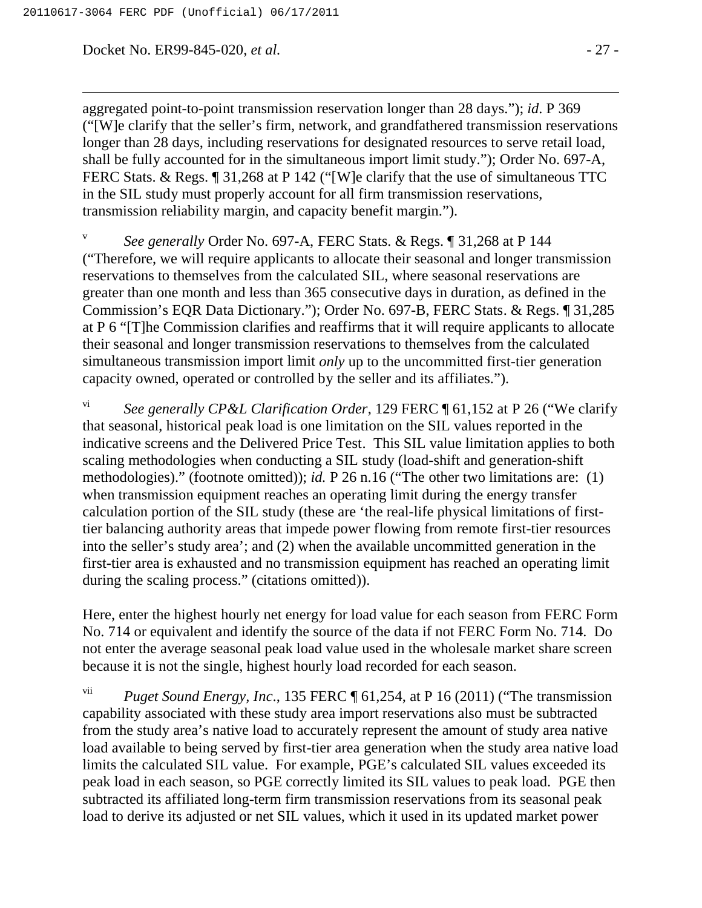Docket No. ER99-845-020, *et al.* - 27 -

aggregated point-to-point transmission reservation longer than 28 days."); *id*. P 369 ("[W]e clarify that the seller's firm, network, and grandfathered transmission reservations longer than 28 days, including reservations for designated resources to serve retail load, shall be fully accounted for in the simultaneous import limit study."); Order No. 697-A, FERC Stats. & Regs.  $\sqrt{ }$  31,268 at P 142 ("[W]e clarify that the use of simultaneous TTC in the SIL study must properly account for all firm transmission reservations, transmission reliability margin, and capacity benefit margin.").

<sup>v</sup> *See generally* Order No. 697-A, FERC Stats. & Regs. ¶ 31,268 at P 144 ("Therefore, we will require applicants to allocate their seasonal and longer transmission reservations to themselves from the calculated SIL, where seasonal reservations are greater than one month and less than 365 consecutive days in duration, as defined in the Commission's EQR Data Dictionary."); Order No. 697-B, FERC Stats. & Regs. ¶ 31,285 at P 6 "[T]he Commission clarifies and reaffirms that it will require applicants to allocate their seasonal and longer transmission reservations to themselves from the calculated simultaneous transmission import limit *only* up to the uncommitted first-tier generation capacity owned, operated or controlled by the seller and its affiliates.").

*See generally CP&L Clarification Order*, 129 FERC ¶ 61,152 at P 26 ("We clarify that seasonal, historical peak load is one limitation on the SIL values reported in the indicative screens and the Delivered Price Test. This SIL value limitation applies to both scaling methodologies when conducting a SIL study (load-shift and generation-shift methodologies)." (footnote omitted)); *id.* P 26 n.16 ("The other two limitations are: (1) when transmission equipment reaches an operating limit during the energy transfer calculation portion of the SIL study (these are 'the real-life physical limitations of firsttier balancing authority areas that impede power flowing from remote first-tier resources into the seller's study area'; and (2) when the available uncommitted generation in the first-tier area is exhausted and no transmission equipment has reached an operating limit during the scaling process." (citations omitted)).

Here, enter the highest hourly net energy for load value for each season from FERC Form No. 714 or equivalent and identify the source of the data if not FERC Form No. 714. Do not enter the average seasonal peak load value used in the wholesale market share screen because it is not the single, highest hourly load recorded for each season.

vii *Puget Sound Energy, Inc*., 135 FERC ¶ 61,254, at P 16 (2011) ("The transmission capability associated with these study area import reservations also must be subtracted from the study area's native load to accurately represent the amount of study area native load available to being served by first-tier area generation when the study area native load limits the calculated SIL value. For example, PGE's calculated SIL values exceeded its peak load in each season, so PGE correctly limited its SIL values to peak load. PGE then subtracted its affiliated long-term firm transmission reservations from its seasonal peak load to derive its adjusted or net SIL values, which it used in its updated market power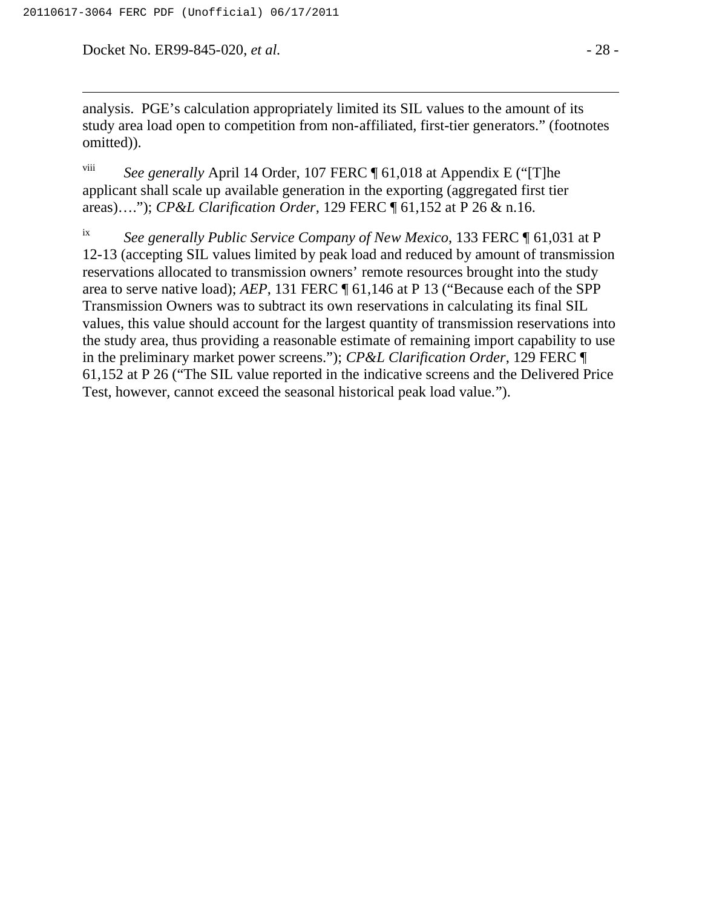Docket No. ER99-845-020, *et al.* - 28 -

analysis. PGE's calculation appropriately limited its SIL values to the amount of its study area load open to competition from non-affiliated, first-tier generators." (footnotes omitted)).

viii *See generally* April 14 Order, 107 FERC ¶ 61,018 at Appendix E ("[T]he applicant shall scale up available generation in the exporting (aggregated first tier areas)…."); *CP&L Clarification Order*, 129 FERC ¶ 61,152 at P 26 & n.16.

ix *See generally Public Service Company of New Mexico*, 133 FERC ¶ 61,031 at P 12-13 (accepting SIL values limited by peak load and reduced by amount of transmission reservations allocated to transmission owners' remote resources brought into the study area to serve native load); *AEP*, 131 FERC ¶ 61,146 at P 13 ("Because each of the SPP Transmission Owners was to subtract its own reservations in calculating its final SIL values, this value should account for the largest quantity of transmission reservations into the study area, thus providing a reasonable estimate of remaining import capability to use in the preliminary market power screens."); *CP&L Clarification Order*, 129 FERC ¶ 61,152 at P 26 ("The SIL value reported in the indicative screens and the Delivered Price Test, however, cannot exceed the seasonal historical peak load value.").